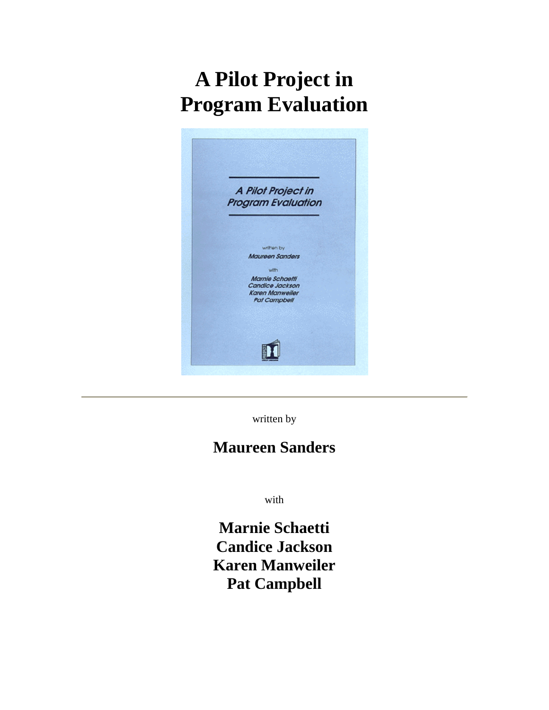# **A Pilot Project in Program Evaluation**



written by

# **Maureen Sanders**

with

**Marnie Schaetti Candice Jackson Karen Manweiler Pat Campbell**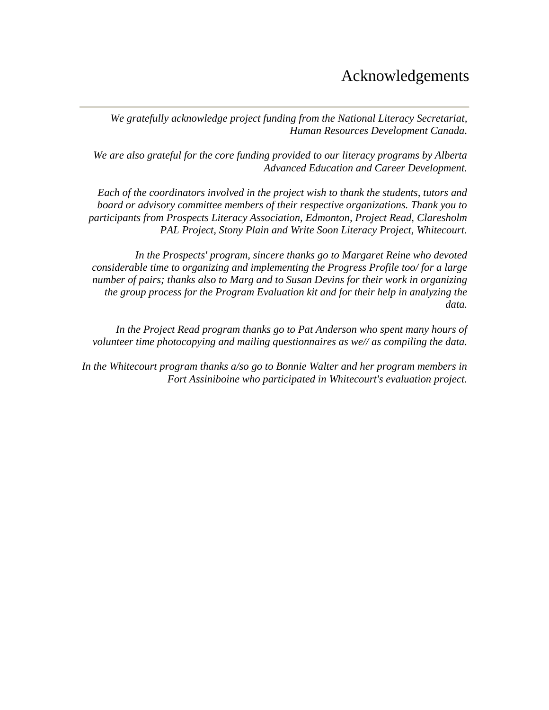# Acknowledgements

*We gratefully acknowledge project funding from the National Literacy Secretariat, Human Resources Development Canada.*

*We are also grateful for the core funding provided to our literacy programs by Alberta Advanced Education and Career Development.*

*Each of the coordinators involved in the project wish to thank the students, tutors and board or advisory committee members of their respective organizations. Thank you to participants from Prospects Literacy Association, Edmonton, Project Read, Claresholm PAL Project, Stony Plain and Write Soon Literacy Project, Whitecourt.*

*In the Prospects' program, sincere thanks go to Margaret Reine who devoted considerable time to organizing and implementing the Progress Profile too/ for a large number of pairs; thanks also to Marg and to Susan Devins for their work in organizing the group process for the Program Evaluation kit and for their help in analyzing the data.*

*In the Project Read program thanks go to Pat Anderson who spent many hours of volunteer time photocopying and mailing questionnaires as we// as compiling the data.*

*In the Whitecourt program thanks a/so go to Bonnie Walter and her program members in Fort Assiniboine who participated in Whitecourt's evaluation project.*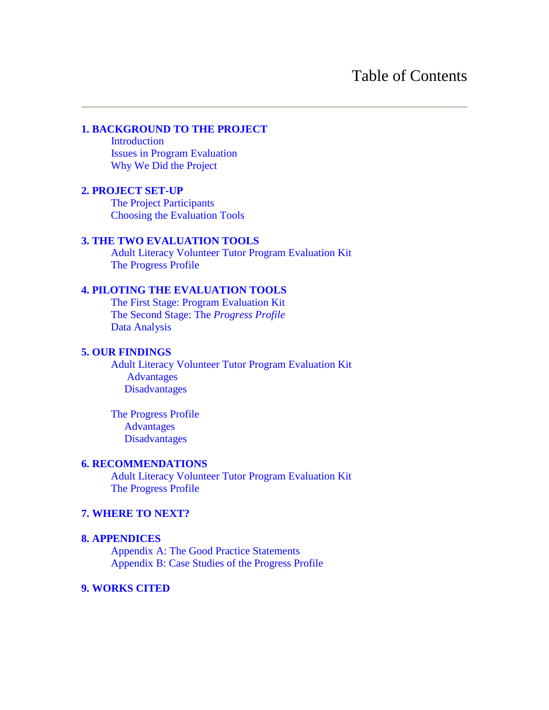#### **[1. BACKGROUND TO THE PROJECT](#page-3-0)**

 [Introduction](#page-3-0) [Issues in Program Evaluation](#page-3-0) [Why We Did the Project](#page-4-0)

#### **[2. PROJECT SET-UP](#page-5-0)**

 [The Project Participants](#page-5-0) [Choosing the Evaluation Tools](#page-6-0)

#### **[3. THE TWO EVALUATION TOOLS](#page-7-0)**

 [Adult Literacy Volunteer Tutor Program Evaluation Kit](#page-7-0) [The Progress Profile](#page-8-0)

#### **[4. PILOTING THE EVALUATION TOOLS](#page-11-0)**

 [The First Stage: Program Evaluation Kit](#page-11-0) [The Second Stage: The](#page-12-0) *Progress Profile* [Data Analysis](#page-13-0)

#### **5. OUR [FINDINGS](#page-14-0)**

 [Adult Literacy Volunteer Tutor Program Evaluation Kit](#page-14-0) [Advantages](#page-14-0) [Disadvantages](#page-16-0)

 [The Progress Profile](#page-20-0) [Advantages](#page-20-0) [Disadvantages](#page-21-0)

#### **[6. RECOMMENDATIONS](#page-23-0)**

 [Adult Literacy Volunteer Tutor Program Evaluation Kit](#page-23-0) [The Progress Profile](#page-25-0)

#### **[7. WHERE TO NEXT?](#page-27-0)**

#### **[8. APPENDICES](#page-29-0)**

 Appendix A: [The Good Practice Statements](#page-29-0) [Appendix B: Case Studies of the Progress Profile](#page-32-0)

#### **[9. WORKS CITED](#page-44-0)**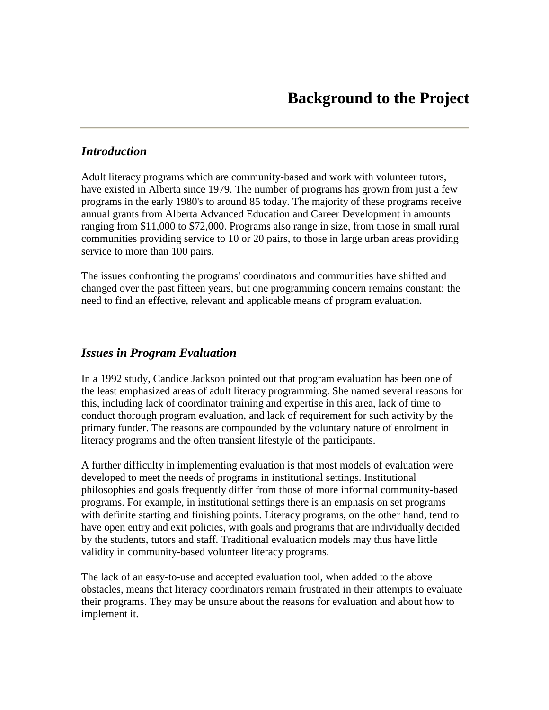# <span id="page-3-0"></span>*Introduction*

Adult literacy programs which are community-based and work with volunteer tutors, have existed in Alberta since 1979. The number of programs has grown from just a few programs in the early 1980's to around 85 today. The majority of these programs receive annual grants from Alberta Advanced Education and Career Development in amounts ranging from \$11,000 to \$72,000. Programs also range in size, from those in small rural communities providing service to 10 or 20 pairs, to those in large urban areas providing service to more than 100 pairs.

The issues confronting the programs' coordinators and communities have shifted and changed over the past fifteen years, but one programming concern remains constant: the need to find an effective, relevant and applicable means of program evaluation.

#### *Issues in Program Evaluation*

In a 1992 study, Candice Jackson pointed out that program evaluation has been one of the least emphasized areas of adult literacy programming. She named several reasons for this, including lack of coordinator training and expertise in this area, lack of time to conduct thorough program evaluation, and lack of requirement for such activity by the primary funder. The reasons are compounded by the voluntary nature of enrolment in literacy programs and the often transient lifestyle of the participants.

A further difficulty in implementing evaluation is that most models of evaluation were developed to meet the needs of programs in institutional settings. Institutional philosophies and goals frequently differ from those of more informal community-based programs. For example, in institutional settings there is an emphasis on set programs with definite starting and finishing points. Literacy programs, on the other hand, tend to have open entry and exit policies, with goals and programs that are individually decided by the students, tutors and staff. Traditional evaluation models may thus have little validity in community-based volunteer literacy programs.

The lack of an easy-to-use and accepted evaluation tool, when added to the above obstacles, means that literacy coordinators remain frustrated in their attempts to evaluate their programs. They may be unsure about the reasons for evaluation and about how to implement it.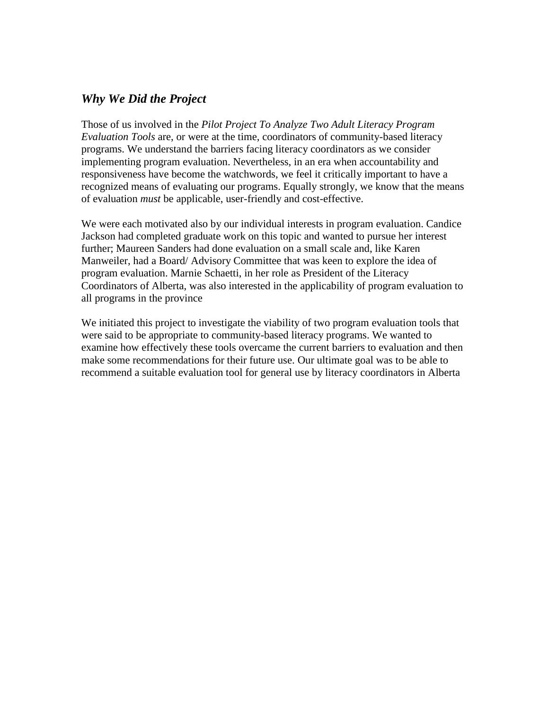#### <span id="page-4-0"></span>*Why We Did the Project*

Those of us involved in the *Pilot Project To Analyze Two Adult Literacy Program Evaluation Tools* are, or were at the time, coordinators of community-based literacy programs. We understand the barriers facing literacy coordinators as we consider implementing program evaluation. Nevertheless, in an era when accountability and responsiveness have become the watchwords, we feel it critically important to have a recognized means of evaluating our programs. Equally strongly, we know that the means of evaluation *must* be applicable, user-friendly and cost-effective.

We were each motivated also by our individual interests in program evaluation. Candice Jackson had completed graduate work on this topic and wanted to pursue her interest further; Maureen Sanders had done evaluation on a small scale and, like Karen Manweiler, had a Board/ Advisory Committee that was keen to explore the idea of program evaluation. Marnie Schaetti, in her role as President of the Literacy Coordinators of Alberta, was also interested in the applicability of program evaluation to all programs in the province

We initiated this project to investigate the viability of two program evaluation tools that were said to be appropriate to community-based literacy programs. We wanted to examine how effectively these tools overcame the current barriers to evaluation and then make some recommendations for their future use. Our ultimate goal was to be able to recommend a suitable evaluation tool for general use by literacy coordinators in Alberta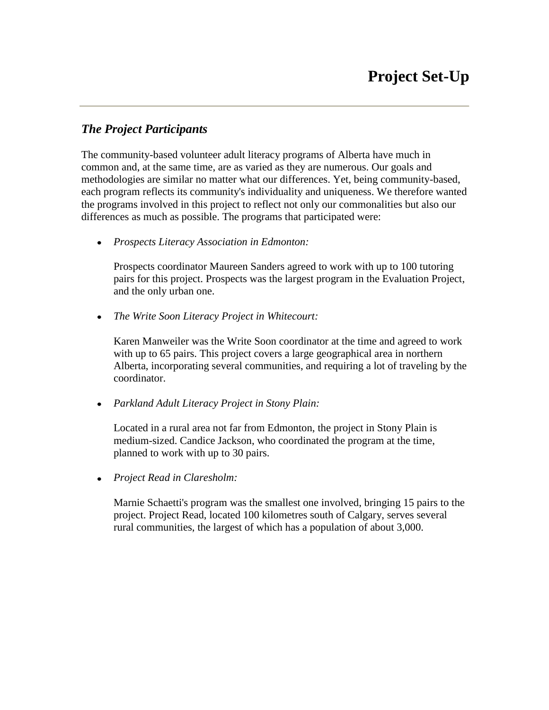# <span id="page-5-0"></span>*The Project Participants*

The community-based volunteer adult literacy programs of Alberta have much in common and, at the same time, are as varied as they are numerous. Our goals and methodologies are similar no matter what our differences. Yet, being community-based, each program reflects its community's individuality and uniqueness. We therefore wanted the programs involved in this project to reflect not only our commonalities but also our differences as much as possible. The programs that participated were:

*Prospects Literacy Association in Edmonton:*

Prospects coordinator Maureen Sanders agreed to work with up to 100 tutoring pairs for this project. Prospects was the largest program in the Evaluation Project, and the only urban one.

*The Write Soon Literacy Project in Whitecourt:*

Karen Manweiler was the Write Soon coordinator at the time and agreed to work with up to 65 pairs. This project covers a large geographical area in northern Alberta, incorporating several communities, and requiring a lot of traveling by the coordinator.

*Parkland Adult Literacy Project in Stony Plain:*

Located in a rural area not far from Edmonton, the project in Stony Plain is medium-sized. Candice Jackson, who coordinated the program at the time, planned to work with up to 30 pairs.

*Project Read in Claresholm:*  $\bullet$ 

> Marnie Schaetti's program was the smallest one involved, bringing 15 pairs to the project. Project Read, located 100 kilometres south of Calgary, serves several rural communities, the largest of which has a population of about 3,000.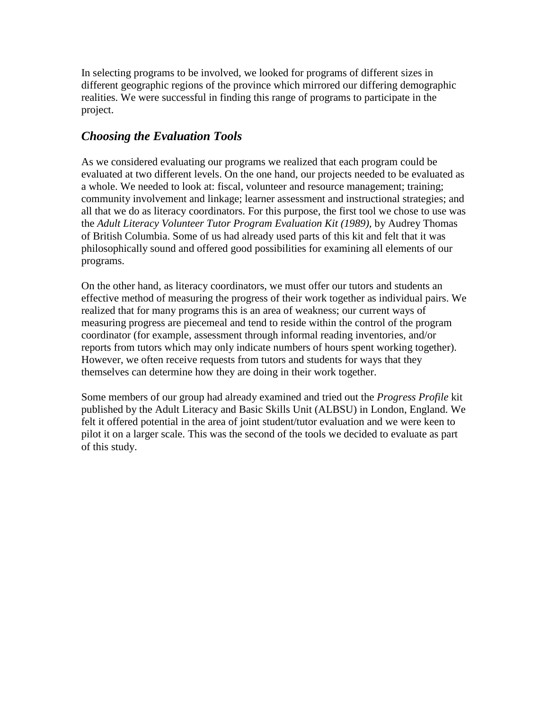<span id="page-6-0"></span>In selecting programs to be involved, we looked for programs of different sizes in different geographic regions of the province which mirrored our differing demographic realities. We were successful in finding this range of programs to participate in the project.

# *Choosing the Evaluation Tools*

As we considered evaluating our programs we realized that each program could be evaluated at two different levels. On the one hand, our projects needed to be evaluated as a whole. We needed to look at: fiscal, volunteer and resource management; training; community involvement and linkage; learner assessment and instructional strategies; and all that we do as literacy coordinators. For this purpose, the first tool we chose to use was the *Adult Literacy Volunteer Tutor Program Evaluation Kit (1989),* by Audrey Thomas of British Columbia. Some of us had already used parts of this kit and felt that it was philosophically sound and offered good possibilities for examining all elements of our programs.

On the other hand, as literacy coordinators, we must offer our tutors and students an effective method of measuring the progress of their work together as individual pairs. We realized that for many programs this is an area of weakness; our current ways of measuring progress are piecemeal and tend to reside within the control of the program coordinator (for example, assessment through informal reading inventories, and/or reports from tutors which may only indicate numbers of hours spent working together). However, we often receive requests from tutors and students for ways that they themselves can determine how they are doing in their work together.

Some members of our group had already examined and tried out the *Progress Profile* kit published by the Adult Literacy and Basic Skills Unit (ALBSU) in London, England. We felt it offered potential in the area of joint student/tutor evaluation and we were keen to pilot it on a larger scale. This was the second of the tools we decided to evaluate as part of this study.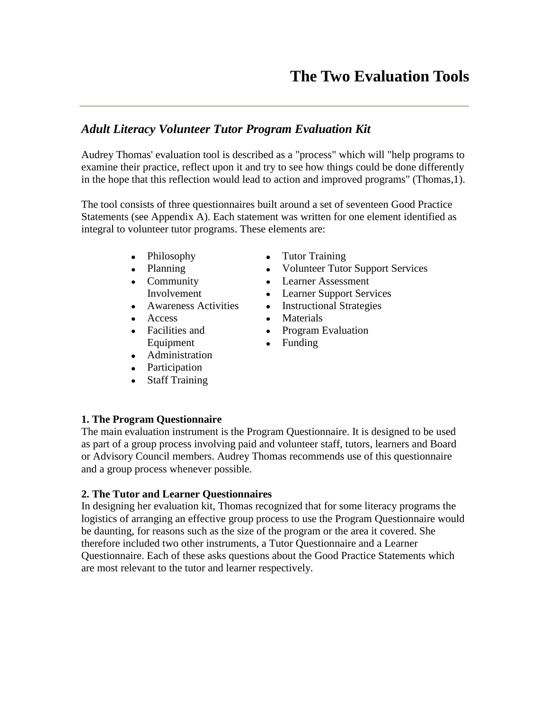# <span id="page-7-0"></span>*Adult Literacy Volunteer Tutor Program Evaluation Kit*

Audrey Thomas' evaluation tool is described as a "process" which will "help programs to examine their practice, reflect upon it and try to see how things could be done differently in the hope that this reflection would lead to action and improved programs" (Thomas,1).

The tool consists of three questionnaires built around a set of seventeen Good Practice Statements (see Appendix A). Each statement was written for one element identified as integral to volunteer tutor programs. These elements are:

- Philosophy
- Planning
- Community Involvement
- Awareness Activities
- Access
- Facilities and Equipment
- Administration
- Participation
- Staff Training
- Tutor Training
- Volunteer Tutor Support Services
- Learner Assessment
- Learner Support Services
- Instructional Strategies
- Materials
- Program Evaluation
- Funding

#### **1. The Program Questionnaire**

The main evaluation instrument is the Program Questionnaire. It is designed to be used as part of a group process involving paid and volunteer staff, tutors, learners and Board or Advisory Council members. Audrey Thomas recommends use of this questionnaire and a group process whenever possible.

#### **2. The Tutor and Learner Questionnaires**

In designing her evaluation kit, Thomas recognized that for some literacy programs the logistics of arranging an effective group process to use the Program Questionnaire would be daunting, for reasons such as the size of the program or the area it covered. She therefore included two other instruments, a Tutor Questionnaire and a Learner Questionnaire. Each of these asks questions about the Good Practice Statements which are most relevant to the tutor and learner respectively.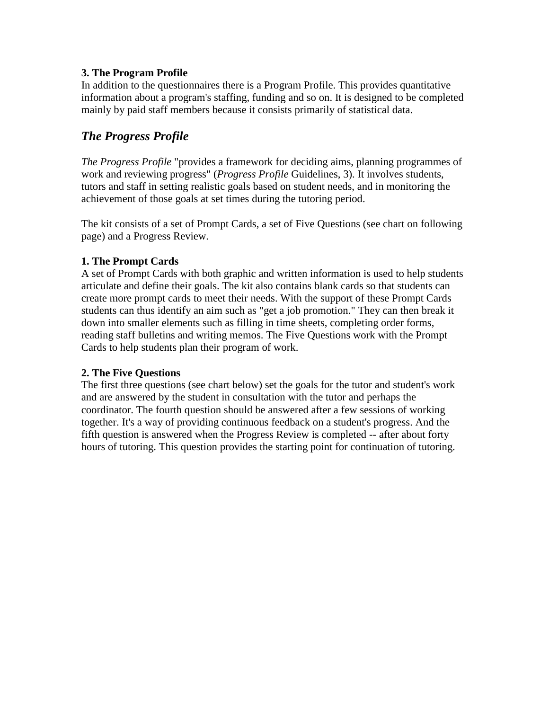#### <span id="page-8-0"></span>**3. The Program Profile**

In addition to the questionnaires there is a Program Profile. This provides quantitative information about a program's staffing, funding and so on. It is designed to be completed mainly by paid staff members because it consists primarily of statistical data.

# *The Progress Profile*

*The Progress Profile* "provides a framework for deciding aims, planning programmes of work and reviewing progress" (*Progress Profile* Guidelines, 3). It involves students, tutors and staff in setting realistic goals based on student needs, and in monitoring the achievement of those goals at set times during the tutoring period.

The kit consists of a set of Prompt Cards, a set of Five Questions (see chart on following page) and a Progress Review.

#### **1. The Prompt Cards**

A set of Prompt Cards with both graphic and written information is used to help students articulate and define their goals. The kit also contains blank cards so that students can create more prompt cards to meet their needs. With the support of these Prompt Cards students can thus identify an aim such as "get a job promotion." They can then break it down into smaller elements such as filling in time sheets, completing order forms, reading staff bulletins and writing memos. The Five Questions work with the Prompt Cards to help students plan their program of work.

#### **2. The Five Questions**

The first three questions (see chart below) set the goals for the tutor and student's work and are answered by the student in consultation with the tutor and perhaps the coordinator. The fourth question should be answered after a few sessions of working together. It's a way of providing continuous feedback on a student's progress. And the fifth question is answered when the Progress Review is completed -- after about forty hours of tutoring. This question provides the starting point for continuation of tutoring.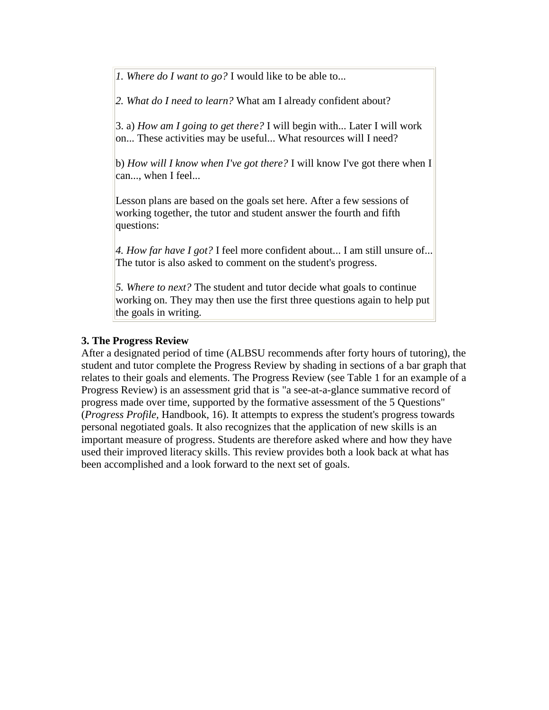*1. Where do I want to go?* I would like to be able to...

*2. What do I need to learn?* What am I already confident about?

3. a) *How am I going to get there?* I will begin with... Later I will work on... These activities may be useful... What resources will I need?

b) *How will I know when I've got there?* I will know I've got there when I can..., when I feel...

Lesson plans are based on the goals set here. After a few sessions of working together, the tutor and student answer the fourth and fifth questions:

*4. How far have I got?* I feel more confident about... I am still unsure of... The tutor is also asked to comment on the student's progress.

*5. Where to next?* The student and tutor decide what goals to continue working on. They may then use the first three questions again to help put the goals in writing.

#### **3. The Progress Review**

After a designated period of time (ALBSU recommends after forty hours of tutoring), the student and tutor complete the Progress Review by shading in sections of a bar graph that relates to their goals and elements. The Progress Review (see Table 1 for an example of a Progress Review) is an assessment grid that is "a see-at-a-glance summative record of progress made over time, supported by the formative assessment of the 5 Questions" (*Progress Profile,* Handbook, 16). It attempts to express the student's progress towards personal negotiated goals. It also recognizes that the application of new skills is an important measure of progress. Students are therefore asked where and how they have used their improved literacy skills. This review provides both a look back at what has been accomplished and a look forward to the next set of goals.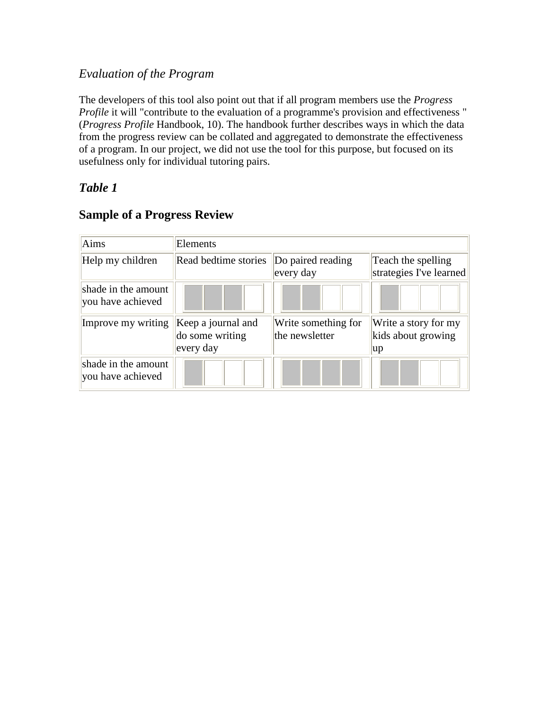# *Evaluation of the Program*

The developers of this tool also point out that if all program members use the *Progress Profile* it will "contribute to the evaluation of a programme's provision and effectiveness " (*Progress Profile* Handbook, 10). The handbook further describes ways in which the data from the progress review can be collated and aggregated to demonstrate the effectiveness of a program. In our project, we did not use the tool for this purpose, but focused on its usefulness only for individual tutoring pairs.

# *Table 1*

| Aims                                     | Elements                                           |                                       |                                                  |
|------------------------------------------|----------------------------------------------------|---------------------------------------|--------------------------------------------------|
| Help my children                         | Read bedtime stories                               | Do paired reading<br>every day        | Teach the spelling<br>strategies I've learned    |
| shade in the amount<br>you have achieved |                                                    |                                       |                                                  |
| Improve my writing                       | Keep a journal and<br>do some writing<br>every day | Write something for<br>the newsletter | Write a story for my<br>kids about growing<br>up |
| shade in the amount<br>you have achieved |                                                    |                                       |                                                  |

# **Sample of a Progress Review**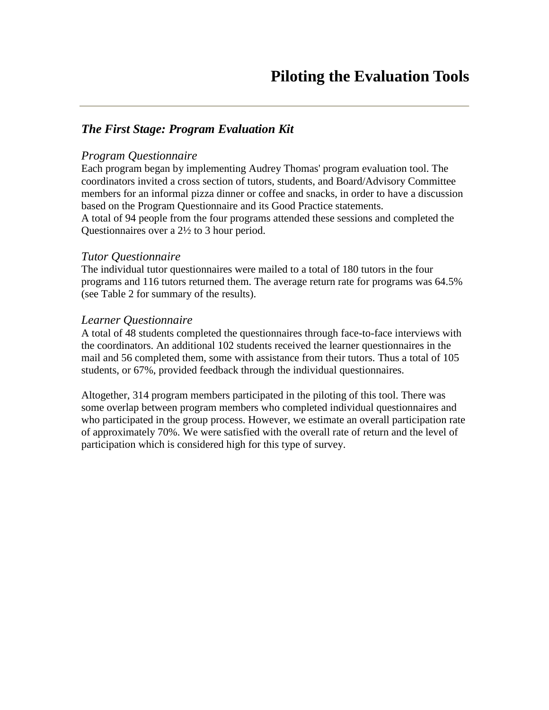# <span id="page-11-0"></span>*The First Stage: Program Evaluation Kit*

#### *Program Questionnaire*

Each program began by implementing Audrey Thomas' program evaluation tool. The coordinators invited a cross section of tutors, students, and Board/Advisory Committee members for an informal pizza dinner or coffee and snacks, in order to have a discussion based on the Program Questionnaire and its Good Practice statements. A total of 94 people from the four programs attended these sessions and completed the Questionnaires over a 2½ to 3 hour period.

#### *Tutor Questionnaire*

The individual tutor questionnaires were mailed to a total of 180 tutors in the four programs and 116 tutors returned them. The average return rate for programs was 64.5% (see Table 2 for summary of the results).

#### *Learner Questionnaire*

A total of 48 students completed the questionnaires through face-to-face interviews with the coordinators. An additional 102 students received the learner questionnaires in the mail and 56 completed them, some with assistance from their tutors. Thus a total of 105 students, or 67%, provided feedback through the individual questionnaires.

Altogether, 314 program members participated in the piloting of this tool. There was some overlap between program members who completed individual questionnaires and who participated in the group process. However, we estimate an overall participation rate of approximately 70%. We were satisfied with the overall rate of return and the level of participation which is considered high for this type of survey.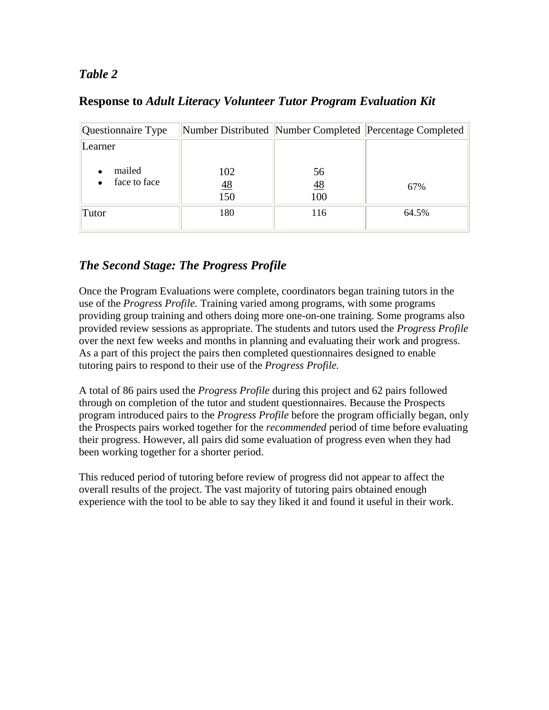# <span id="page-12-0"></span>*Table 2*

|  | <b>Response to Adult Literacy Volunteer Tutor Program Evaluation Kit</b> |
|--|--------------------------------------------------------------------------|
|--|--------------------------------------------------------------------------|

| Questionnaire Type     |                              |                        | Number Distributed Number Completed Percentage Completed |
|------------------------|------------------------------|------------------------|----------------------------------------------------------|
| Learner                |                              |                        |                                                          |
| mailed<br>face to face | 102<br>$\frac{48}{1}$<br>150 | 56<br><u>48</u><br>100 | 67%                                                      |
| Tutor                  | 180                          | 116                    | 64.5%                                                    |

# *The Second Stage: The Progress Profile*

Once the Program Evaluations were complete, coordinators began training tutors in the use of the *Progress Profile.* Training varied among programs, with some programs providing group training and others doing more one-on-one training. Some programs also provided review sessions as appropriate. The students and tutors used the *Progress Profile*  over the next few weeks and months in planning and evaluating their work and progress. As a part of this project the pairs then completed questionnaires designed to enable tutoring pairs to respond to their use of the *Progress Profile.*

A total of 86 pairs used the *Progress Profile* during this project and 62 pairs followed through on completion of the tutor and student questionnaires. Because the Prospects program introduced pairs to the *Progress Profile* before the program officially began, only the Prospects pairs worked together for the *recommended* period of time before evaluating their progress. However, all pairs did some evaluation of progress even when they had been working together for a shorter period.

This reduced period of tutoring before review of progress did not appear to affect the overall results of the project. The vast majority of tutoring pairs obtained enough experience with the tool to be able to say they liked it and found it useful in their work.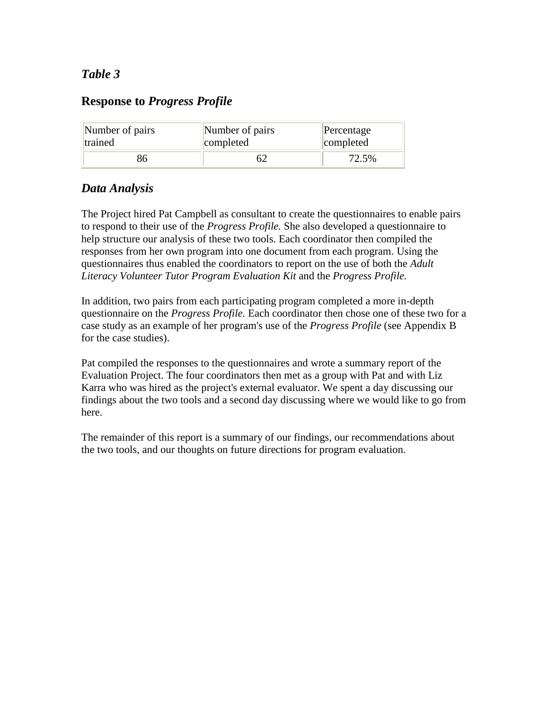# <span id="page-13-0"></span>*Table 3*

# **Response to** *Progress Profile*

| Number of pairs | Number of pairs | Percentage |
|-----------------|-----------------|------------|
| <b>Itrained</b> | completed       | completed  |
|                 |                 | 72.5%      |

# *Data Analysis*

The Project hired Pat Campbell as consultant to create the questionnaires to enable pairs to respond to their use of the *Progress Profile.* She also developed a questionnaire to help structure our analysis of these two tools. Each coordinator then compiled the responses from her own program into one document from each program. Using the questionnaires thus enabled the coordinators to report on the use of both the *Adult Literacy Volunteer Tutor Program Evaluation Kit* and the *Progress Profile.*

In addition, two pairs from each participating program completed a more in-depth questionnaire on the *Progress Profile.* Each coordinator then chose one of these two for a case study as an example of her program's use of the *Progress Profile* (see Appendix B for the case studies).

Pat compiled the responses to the questionnaires and wrote a summary report of the Evaluation Project. The four coordinators then met as a group with Pat and with Liz Karra who was hired as the project's external evaluator. We spent a day discussing our findings about the two tools and a second day discussing where we would like to go from here.

The remainder of this report is a summary of our findings, our recommendations about the two tools, and our thoughts on future directions for program evaluation.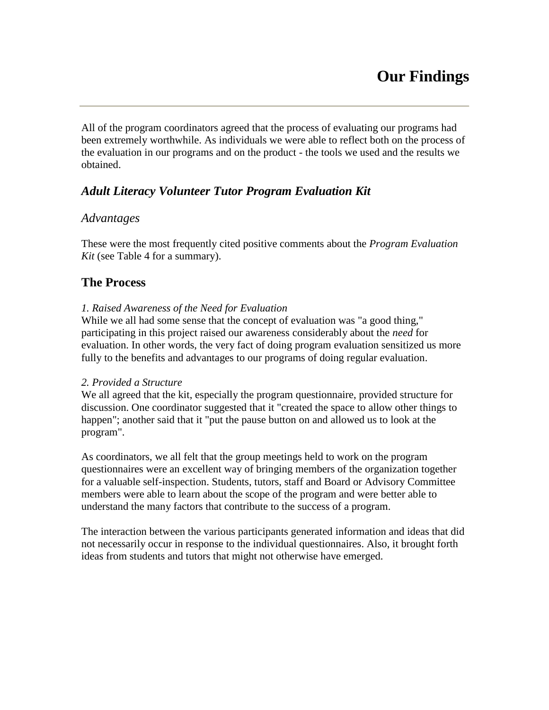<span id="page-14-0"></span>All of the program coordinators agreed that the process of evaluating our programs had been extremely worthwhile. As individuals we were able to reflect both on the process of the evaluation in our programs and on the product - the tools we used and the results we obtained.

# *Adult Literacy Volunteer Tutor Program Evaluation Kit*

#### *Advantages*

These were the most frequently cited positive comments about the *Program Evaluation Kit* (see Table 4 for a summary).

# **The Process**

#### *1. Raised Awareness of the Need for Evaluation*

While we all had some sense that the concept of evaluation was "a good thing," participating in this project raised our awareness considerably about the *need* for evaluation. In other words, the very fact of doing program evaluation sensitized us more fully to the benefits and advantages to our programs of doing regular evaluation.

#### *2. Provided a Structure*

We all agreed that the kit, especially the program questionnaire, provided structure for discussion. One coordinator suggested that it "created the space to allow other things to happen"; another said that it "put the pause button on and allowed us to look at the program".

As coordinators, we all felt that the group meetings held to work on the program questionnaires were an excellent way of bringing members of the organization together for a valuable self-inspection. Students, tutors, staff and Board or Advisory Committee members were able to learn about the scope of the program and were better able to understand the many factors that contribute to the success of a program.

The interaction between the various participants generated information and ideas that did not necessarily occur in response to the individual questionnaires. Also, it brought forth ideas from students and tutors that might not otherwise have emerged.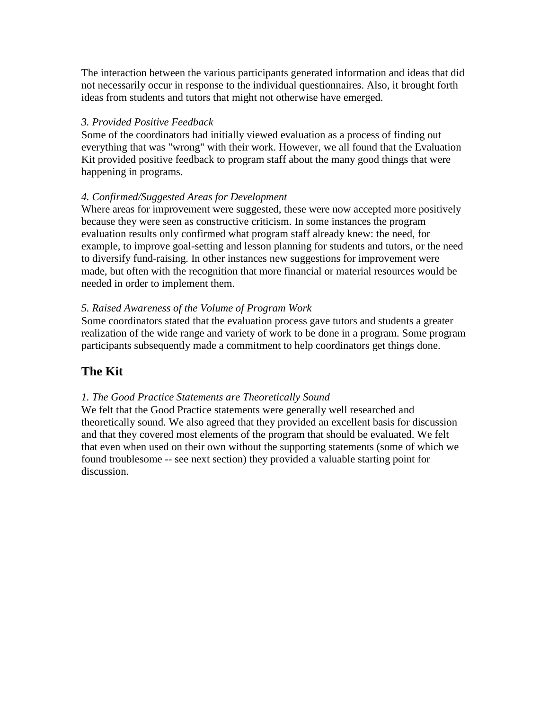The interaction between the various participants generated information and ideas that did not necessarily occur in response to the individual questionnaires. Also, it brought forth ideas from students and tutors that might not otherwise have emerged.

#### *3. Provided Positive Feedback*

Some of the coordinators had initially viewed evaluation as a process of finding out everything that was "wrong" with their work. However, we all found that the Evaluation Kit provided positive feedback to program staff about the many good things that were happening in programs.

#### *4. Confirmed/Suggested Areas for Development*

Where areas for improvement were suggested, these were now accepted more positively because they were seen as constructive criticism. In some instances the program evaluation results only confirmed what program staff already knew: the need, for example, to improve goal-setting and lesson planning for students and tutors, or the need to diversify fund-raising. In other instances new suggestions for improvement were made, but often with the recognition that more financial or material resources would be needed in order to implement them.

#### *5. Raised Awareness of the Volume of Program Work*

Some coordinators stated that the evaluation process gave tutors and students a greater realization of the wide range and variety of work to be done in a program. Some program participants subsequently made a commitment to help coordinators get things done.

# **The Kit**

#### *1. The Good Practice Statements are Theoretically Sound*

We felt that the Good Practice statements were generally well researched and theoretically sound. We also agreed that they provided an excellent basis for discussion and that they covered most elements of the program that should be evaluated. We felt that even when used on their own without the supporting statements (some of which we found troublesome -- see next section) they provided a valuable starting point for discussion.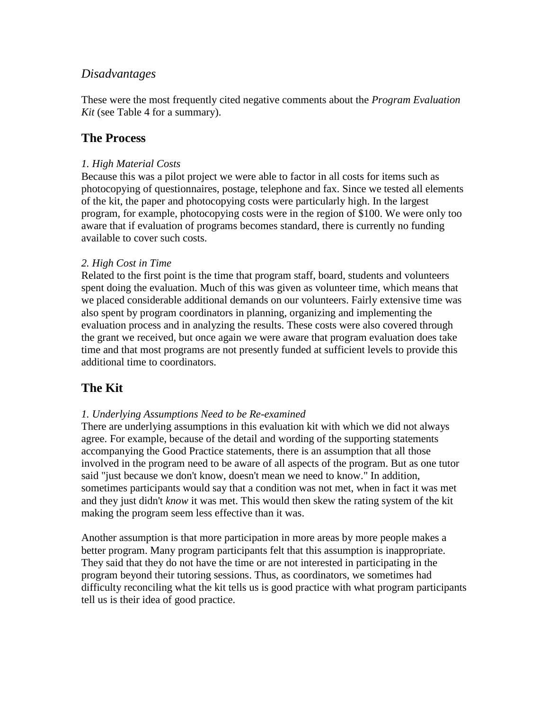# <span id="page-16-0"></span>*Disadvantages*

These were the most frequently cited negative comments about the *Program Evaluation Kit* (see Table 4 for a summary).

# **The Process**

#### *1. High Material Costs*

Because this was a pilot project we were able to factor in all costs for items such as photocopying of questionnaires, postage, telephone and fax. Since we tested all elements of the kit, the paper and photocopying costs were particularly high. In the largest program, for example, photocopying costs were in the region of \$100. We were only too aware that if evaluation of programs becomes standard, there is currently no funding available to cover such costs.

#### *2. High Cost in Time*

Related to the first point is the time that program staff, board, students and volunteers spent doing the evaluation. Much of this was given as volunteer time, which means that we placed considerable additional demands on our volunteers. Fairly extensive time was also spent by program coordinators in planning, organizing and implementing the evaluation process and in analyzing the results. These costs were also covered through the grant we received, but once again we were aware that program evaluation does take time and that most programs are not presently funded at sufficient levels to provide this additional time to coordinators.

# **The Kit**

#### *1. Underlying Assumptions Need to be Re-examined*

There are underlying assumptions in this evaluation kit with which we did not always agree. For example, because of the detail and wording of the supporting statements accompanying the Good Practice statements, there is an assumption that all those involved in the program need to be aware of all aspects of the program. But as one tutor said "just because we don't know, doesn't mean we need to know." In addition, sometimes participants would say that a condition was not met, when in fact it was met and they just didn't *know* it was met. This would then skew the rating system of the kit making the program seem less effective than it was.

Another assumption is that more participation in more areas by more people makes a better program. Many program participants felt that this assumption is inappropriate. They said that they do not have the time or are not interested in participating in the program beyond their tutoring sessions. Thus, as coordinators, we sometimes had difficulty reconciling what the kit tells us is good practice with what program participants tell us is their idea of good practice.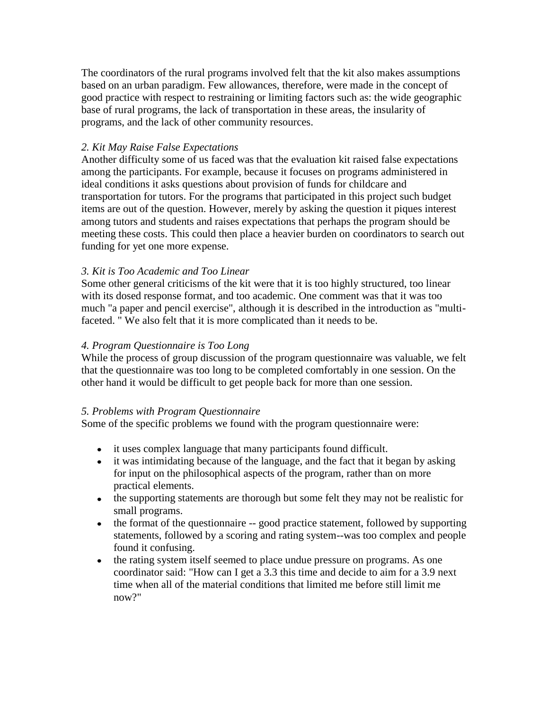The coordinators of the rural programs involved felt that the kit also makes assumptions based on an urban paradigm. Few allowances, therefore, were made in the concept of good practice with respect to restraining or limiting factors such as: the wide geographic base of rural programs, the lack of transportation in these areas, the insularity of programs, and the lack of other community resources.

#### *2. Kit May Raise False Expectations*

Another difficulty some of us faced was that the evaluation kit raised false expectations among the participants. For example, because it focuses on programs administered in ideal conditions it asks questions about provision of funds for childcare and transportation for tutors. For the programs that participated in this project such budget items are out of the question. However, merely by asking the question it piques interest among tutors and students and raises expectations that perhaps the program should be meeting these costs. This could then place a heavier burden on coordinators to search out funding for yet one more expense.

#### *3. Kit is Too Academic and Too Linear*

Some other general criticisms of the kit were that it is too highly structured, too linear with its dosed response format, and too academic. One comment was that it was too much "a paper and pencil exercise", although it is described in the introduction as "multifaceted. " We also felt that it is more complicated than it needs to be.

#### *4. Program Questionnaire is Too Long*

While the process of group discussion of the program questionnaire was valuable, we felt that the questionnaire was too long to be completed comfortably in one session. On the other hand it would be difficult to get people back for more than one session.

#### *5. Problems with Program Questionnaire*

Some of the specific problems we found with the program questionnaire were:

- it uses complex language that many participants found difficult.
- it was intimidating because of the language, and the fact that it began by asking for input on the philosophical aspects of the program, rather than on more practical elements.
- the supporting statements are thorough but some felt they may not be realistic for small programs.
- the format of the questionnaire -- good practice statement, followed by supporting statements, followed by a scoring and rating system--was too complex and people found it confusing.
- the rating system itself seemed to place undue pressure on programs. As one coordinator said: "How can I get a 3.3 this time and decide to aim for a 3.9 next time when all of the material conditions that limited me before still limit me now?"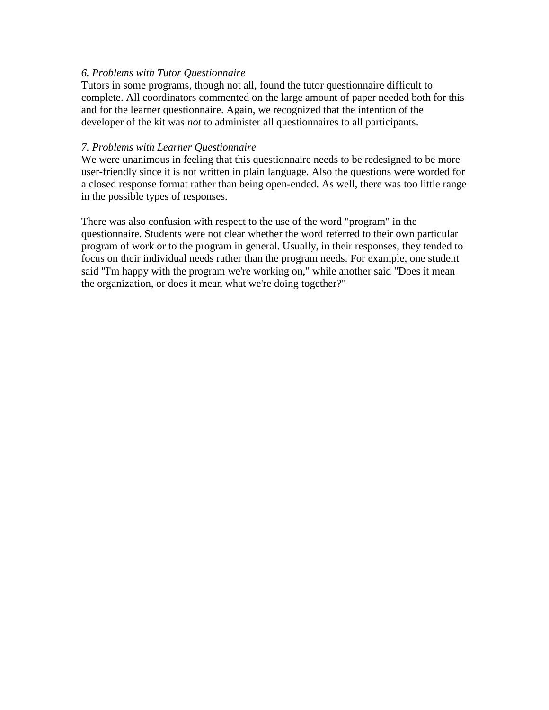#### *6. Problems with Tutor Questionnaire*

Tutors in some programs, though not all, found the tutor questionnaire difficult to complete. All coordinators commented on the large amount of paper needed both for this and for the learner questionnaire. Again, we recognized that the intention of the developer of the kit was *not* to administer all questionnaires to all participants.

#### *7. Problems with Learner Questionnaire*

We were unanimous in feeling that this questionnaire needs to be redesigned to be more user-friendly since it is not written in plain language. Also the questions were worded for a closed response format rather than being open-ended. As well, there was too little range in the possible types of responses.

There was also confusion with respect to the use of the word "program" in the questionnaire. Students were not clear whether the word referred to their own particular program of work or to the program in general. Usually, in their responses, they tended to focus on their individual needs rather than the program needs. For example, one student said "I'm happy with the program we're working on," while another said "Does it mean the organization, or does it mean what we're doing together?"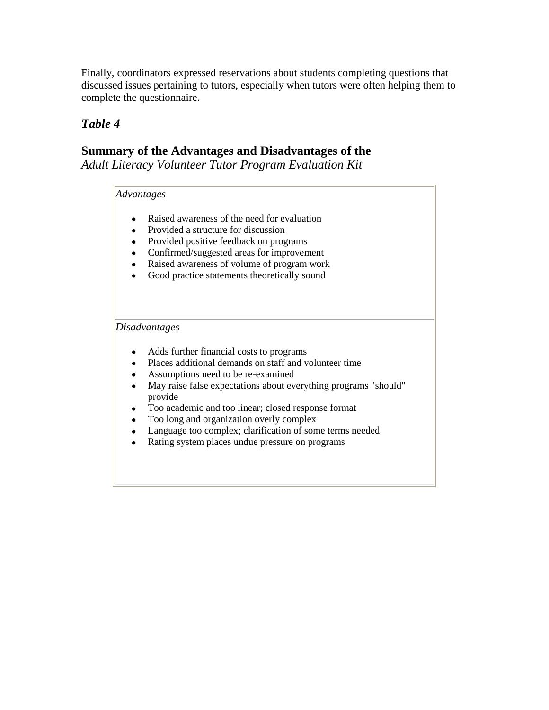Finally, coordinators expressed reservations about students completing questions that discussed issues pertaining to tutors, especially when tutors were often helping them to complete the questionnaire.

# *Table 4*

# **Summary of the Advantages and Disadvantages of the**

*Adult Literacy Volunteer Tutor Program Evaluation Kit*

#### *Advantages*

- Raised awareness of the need for evaluation  $\bullet$
- Provided a structure for discussion
- Provided positive feedback on programs
- Confirmed/suggested areas for improvement
- Raised awareness of volume of program work
- Good practice statements theoretically sound

#### *Disadvantages*

- Adds further financial costs to programs  $\bullet$
- Places additional demands on staff and volunteer time  $\bullet$
- Assumptions need to be re-examined  $\bullet$
- May raise false expectations about everything programs "should"  $\bullet$ provide
- Too academic and too linear; closed response format  $\bullet$
- Too long and organization overly complex
- Language too complex; clarification of some terms needed
- Rating system places undue pressure on programs  $\bullet$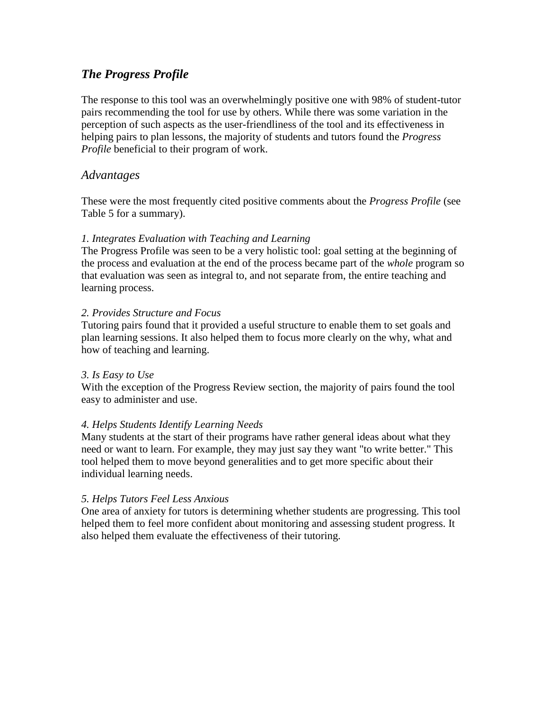# <span id="page-20-0"></span>*The Progress Profile*

The response to this tool was an overwhelmingly positive one with 98% of student-tutor pairs recommending the tool for use by others. While there was some variation in the perception of such aspects as the user-friendliness of the tool and its effectiveness in helping pairs to plan lessons, the majority of students and tutors found the *Progress Profile* beneficial to their program of work.

#### *Advantages*

These were the most frequently cited positive comments about the *Progress Profile* (see Table 5 for a summary).

#### *1. Integrates Evaluation with Teaching and Learning*

The Progress Profile was seen to be a very holistic tool: goal setting at the beginning of the process and evaluation at the end of the process became part of the *whole* program so that evaluation was seen as integral to, and not separate from, the entire teaching and learning process.

#### *2. Provides Structure and Focus*

Tutoring pairs found that it provided a useful structure to enable them to set goals and plan learning sessions. It also helped them to focus more clearly on the why, what and how of teaching and learning.

#### *3. Is Easy to Use*

With the exception of the Progress Review section, the majority of pairs found the tool easy to administer and use.

#### *4. Helps Students Identify Learning Needs*

Many students at the start of their programs have rather general ideas about what they need or want to learn. For example, they may just say they want "to write better." This tool helped them to move beyond generalities and to get more specific about their individual learning needs.

#### *5. Helps Tutors Feel Less Anxious*

One area of anxiety for tutors is determining whether students are progressing. This tool helped them to feel more confident about monitoring and assessing student progress. It also helped them evaluate the effectiveness of their tutoring.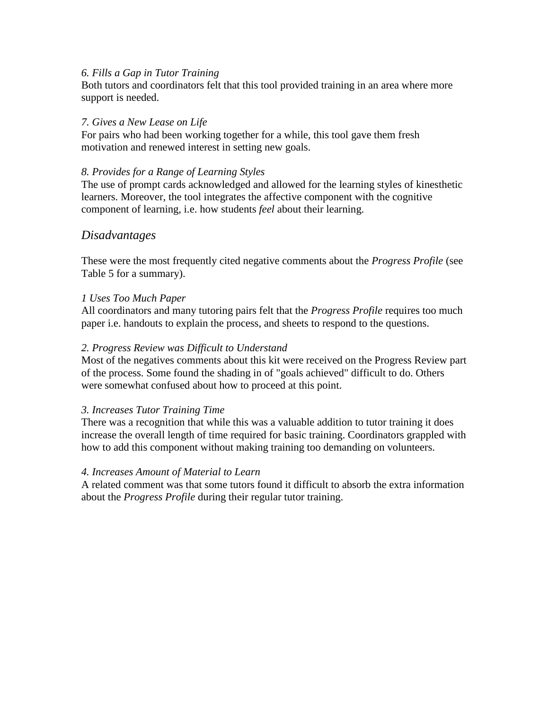#### <span id="page-21-0"></span>*6. Fills a Gap in Tutor Training*

Both tutors and coordinators felt that this tool provided training in an area where more support is needed.

#### *7. Gives a New Lease on Life*

For pairs who had been working together for a while, this tool gave them fresh motivation and renewed interest in setting new goals.

#### *8. Provides for a Range of Learning Styles*

The use of prompt cards acknowledged and allowed for the learning styles of kinesthetic learners. Moreover, the tool integrates the affective component with the cognitive component of learning, i.e. how students *feel* about their learning.

#### *Disadvantages*

These were the most frequently cited negative comments about the *Progress Profile* (see Table 5 for a summary).

#### *1 Uses Too Much Paper*

All coordinators and many tutoring pairs felt that the *Progress Profile* requires too much paper i.e. handouts to explain the process, and sheets to respond to the questions.

#### *2. Progress Review was Difficult to Understand*

Most of the negatives comments about this kit were received on the Progress Review part of the process. Some found the shading in of "goals achieved" difficult to do. Others were somewhat confused about how to proceed at this point.

#### *3. Increases Tutor Training Time*

There was a recognition that while this was a valuable addition to tutor training it does increase the overall length of time required for basic training. Coordinators grappled with how to add this component without making training too demanding on volunteers.

#### *4. Increases Amount of Material to Learn*

A related comment was that some tutors found it difficult to absorb the extra information about the *Progress Profile* during their regular tutor training.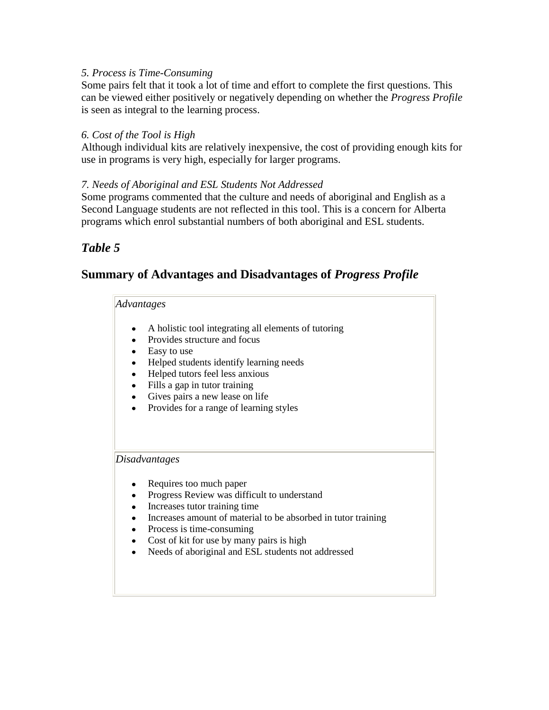#### *5. Process is Time-Consuming*

Some pairs felt that it took a lot of time and effort to complete the first questions. This can be viewed either positively or negatively depending on whether the *Progress Profile*  is seen as integral to the learning process.

#### *6. Cost of the Tool is High*

Although individual kits are relatively inexpensive, the cost of providing enough kits for use in programs is very high, especially for larger programs.

#### *7. Needs of Aboriginal and ESL Students Not Addressed*

Some programs commented that the culture and needs of aboriginal and English as a Second Language students are not reflected in this tool. This is a concern for Alberta programs which enrol substantial numbers of both aboriginal and ESL students.

# *Table 5*

# **Summary of Advantages and Disadvantages of** *Progress Profile*

#### *Advantages*

- A holistic tool integrating all elements of tutoring
- Provides structure and focus
- Easy to use
- Helped students identify learning needs
- Helped tutors feel less anxious
- Fills a gap in tutor training
- Gives pairs a new lease on life
- Provides for a range of learning styles

*Disadvantages*

- Requires too much paper  $\bullet$
- Progress Review was difficult to understand
- Increases tutor training time
- Increases amount of material to be absorbed in tutor training
- Process is time-consuming
- Cost of kit for use by many pairs is high
- Needs of aboriginal and ESL students not addressed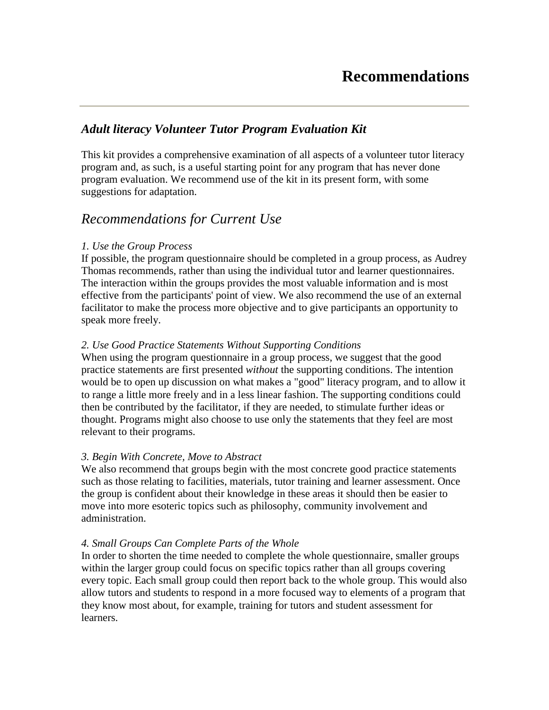# <span id="page-23-0"></span>*Adult literacy Volunteer Tutor Program Evaluation Kit*

This kit provides a comprehensive examination of all aspects of a volunteer tutor literacy program and, as such, is a useful starting point for any program that has never done program evaluation. We recommend use of the kit in its present form, with some suggestions for adaptation.

# *Recommendations for Current Use*

#### *1. Use the Group Process*

If possible, the program questionnaire should be completed in a group process, as Audrey Thomas recommends, rather than using the individual tutor and learner questionnaires. The interaction within the groups provides the most valuable information and is most effective from the participants' point of view. We also recommend the use of an external facilitator to make the process more objective and to give participants an opportunity to speak more freely.

#### *2. Use Good Practice Statements Without Supporting Conditions*

When using the program questionnaire in a group process, we suggest that the good practice statements are first presented *without* the supporting conditions. The intention would be to open up discussion on what makes a "good" literacy program, and to allow it to range a little more freely and in a less linear fashion. The supporting conditions could then be contributed by the facilitator, if they are needed, to stimulate further ideas or thought. Programs might also choose to use only the statements that they feel are most relevant to their programs.

#### *3. Begin With Concrete, Move to Abstract*

We also recommend that groups begin with the most concrete good practice statements such as those relating to facilities, materials, tutor training and learner assessment. Once the group is confident about their knowledge in these areas it should then be easier to move into more esoteric topics such as philosophy, community involvement and administration.

#### *4. Small Groups Can Complete Parts of the Whole*

In order to shorten the time needed to complete the whole questionnaire, smaller groups within the larger group could focus on specific topics rather than all groups covering every topic. Each small group could then report back to the whole group. This would also allow tutors and students to respond in a more focused way to elements of a program that they know most about, for example, training for tutors and student assessment for learners.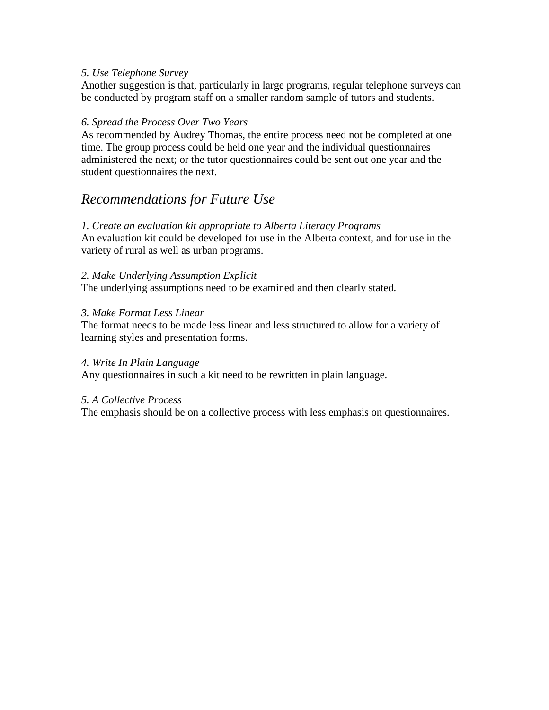#### *5. Use Telephone Survey*

Another suggestion is that, particularly in large programs, regular telephone surveys can be conducted by program staff on a smaller random sample of tutors and students.

#### *6. Spread the Process Over Two Years*

As recommended by Audrey Thomas, the entire process need not be completed at one time. The group process could be held one year and the individual questionnaires administered the next; or the tutor questionnaires could be sent out one year and the student questionnaires the next.

# *Recommendations for Future Use*

#### *1. Create an evaluation kit appropriate to Alberta Literacy Programs*

An evaluation kit could be developed for use in the Alberta context, and for use in the variety of rural as well as urban programs.

#### *2. Make Underlying Assumption Explicit*

The underlying assumptions need to be examined and then clearly stated.

#### *3. Make Format Less Linear*

The format needs to be made less linear and less structured to allow for a variety of learning styles and presentation forms.

#### *4. Write In Plain Language*

Any questionnaires in such a kit need to be rewritten in plain language.

#### *5. A Collective Process*

The emphasis should be on a collective process with less emphasis on questionnaires.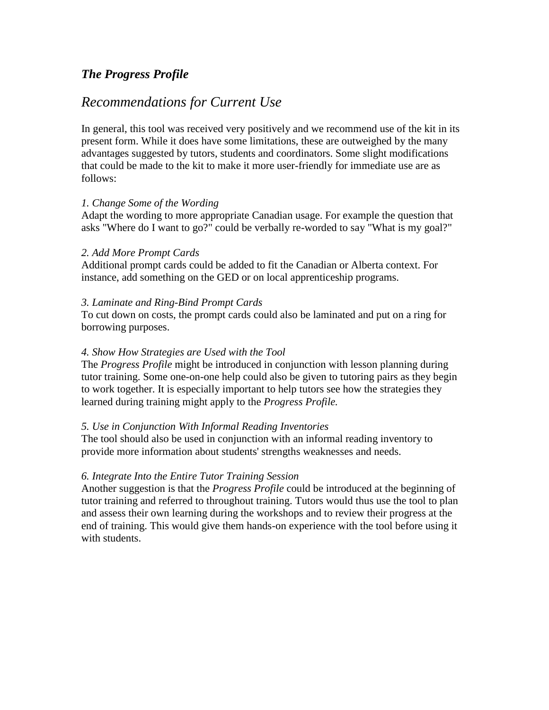# <span id="page-25-0"></span>*The Progress Profile*

# *Recommendations for Current Use*

In general, this tool was received very positively and we recommend use of the kit in its present form. While it does have some limitations, these are outweighed by the many advantages suggested by tutors, students and coordinators. Some slight modifications that could be made to the kit to make it more user-friendly for immediate use are as follows:

#### *1. Change Some of the Wording*

Adapt the wording to more appropriate Canadian usage. For example the question that asks "Where do I want to go?" could be verbally re-worded to say "What is my goal?"

#### *2. Add More Prompt Cards*

Additional prompt cards could be added to fit the Canadian or Alberta context. For instance, add something on the GED or on local apprenticeship programs.

#### *3. Laminate and Ring-Bind Prompt Cards*

To cut down on costs, the prompt cards could also be laminated and put on a ring for borrowing purposes.

#### *4. Show How Strategies are Used with the Tool*

The *Progress Profile* might be introduced in conjunction with lesson planning during tutor training. Some one-on-one help could also be given to tutoring pairs as they begin to work together. It is especially important to help tutors see how the strategies they learned during training might apply to the *Progress Profile.*

#### *5. Use in Conjunction With Informal Reading Inventories*

The tool should also be used in conjunction with an informal reading inventory to provide more information about students' strengths weaknesses and needs.

#### *6. Integrate Into the Entire Tutor Training Session*

Another suggestion is that the *Progress Profile* could be introduced at the beginning of tutor training and referred to throughout training. Tutors would thus use the tool to plan and assess their own learning during the workshops and to review their progress at the end of training. This would give them hands-on experience with the tool before using it with students.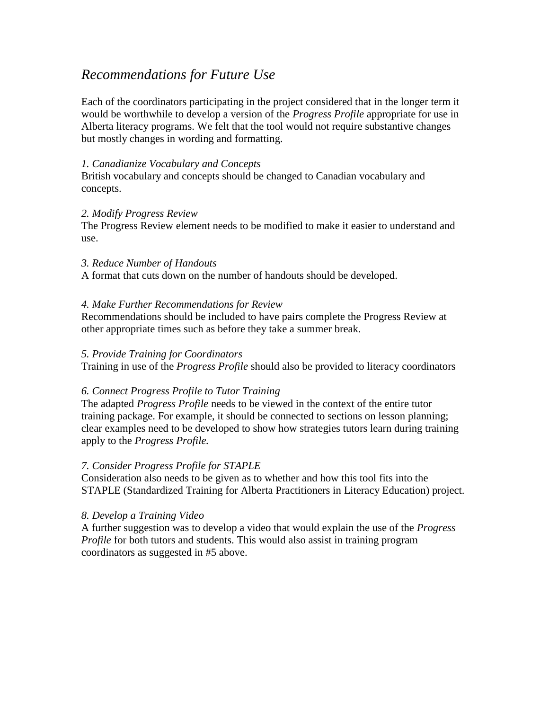# *Recommendations for Future Use*

Each of the coordinators participating in the project considered that in the longer term it would be worthwhile to develop a version of the *Progress Profile* appropriate for use in Alberta literacy programs. We felt that the tool would not require substantive changes but mostly changes in wording and formatting.

#### *1. Canadianize Vocabulary and Concepts*

British vocabulary and concepts should be changed to Canadian vocabulary and concepts.

#### *2. Modify Progress Review*

The Progress Review element needs to be modified to make it easier to understand and use.

#### *3. Reduce Number of Handouts*

A format that cuts down on the number of handouts should be developed.

#### *4. Make Further Recommendations for Review*

Recommendations should be included to have pairs complete the Progress Review at other appropriate times such as before they take a summer break.

#### *5. Provide Training for Coordinators*

Training in use of the *Progress Profile* should also be provided to literacy coordinators

#### *6. Connect Progress Profile to Tutor Training*

The adapted *Progress Profile* needs to be viewed in the context of the entire tutor training package. For example, it should be connected to sections on lesson planning; clear examples need to be developed to show how strategies tutors learn during training apply to the *Progress Profile.*

#### *7. Consider Progress Profile for STAPLE*

Consideration also needs to be given as to whether and how this tool fits into the STAPLE (Standardized Training for Alberta Practitioners in Literacy Education) project.

#### *8. Develop a Training Video*

A further suggestion was to develop a video that would explain the use of the *Progress Profile* for both tutors and students. This would also assist in training program coordinators as suggested in #5 above.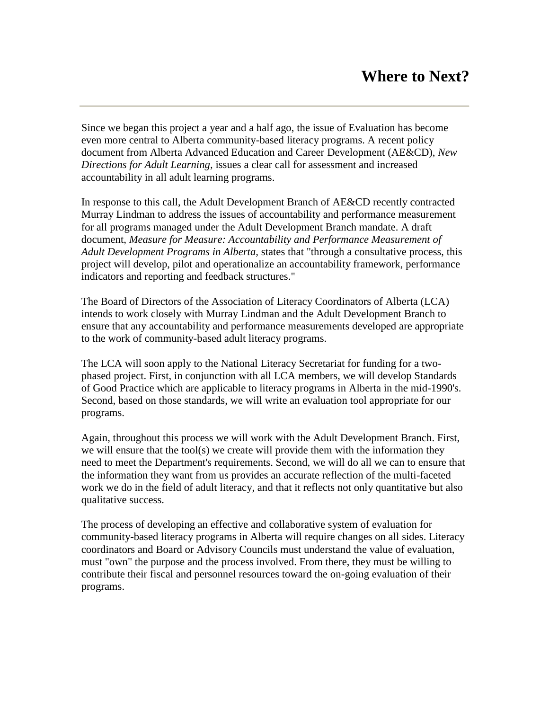<span id="page-27-0"></span>Since we began this project a year and a half ago, the issue of Evaluation has become even more central to Alberta community-based literacy programs. A recent policy document from Alberta Advanced Education and Career Development (AE&CD), *New Directions for Adult Learning,* issues a clear call for assessment and increased accountability in all adult learning programs.

In response to this call, the Adult Development Branch of AE&CD recently contracted Murray Lindman to address the issues of accountability and performance measurement for all programs managed under the Adult Development Branch mandate. A draft document, *Measure for Measure: Accountability and Performance Measurement of Adult Development Programs in Alberta,* states that "through a consultative process, this project will develop, pilot and operationalize an accountability framework, performance indicators and reporting and feedback structures."

The Board of Directors of the Association of Literacy Coordinators of Alberta (LCA) intends to work closely with Murray Lindman and the Adult Development Branch to ensure that any accountability and performance measurements developed are appropriate to the work of community-based adult literacy programs.

The LCA will soon apply to the National Literacy Secretariat for funding for a twophased project. First, in conjunction with all LCA members, we will develop Standards of Good Practice which are applicable to literacy programs in Alberta in the mid-1990's. Second, based on those standards, we will write an evaluation tool appropriate for our programs.

Again, throughout this process we will work with the Adult Development Branch. First, we will ensure that the tool(s) we create will provide them with the information they need to meet the Department's requirements. Second, we will do all we can to ensure that the information they want from us provides an accurate reflection of the multi-faceted work we do in the field of adult literacy, and that it reflects not only quantitative but also qualitative success.

The process of developing an effective and collaborative system of evaluation for community-based literacy programs in Alberta will require changes on all sides. Literacy coordinators and Board or Advisory Councils must understand the value of evaluation, must "own" the purpose and the process involved. From there, they must be willing to contribute their fiscal and personnel resources toward the on-going evaluation of their programs.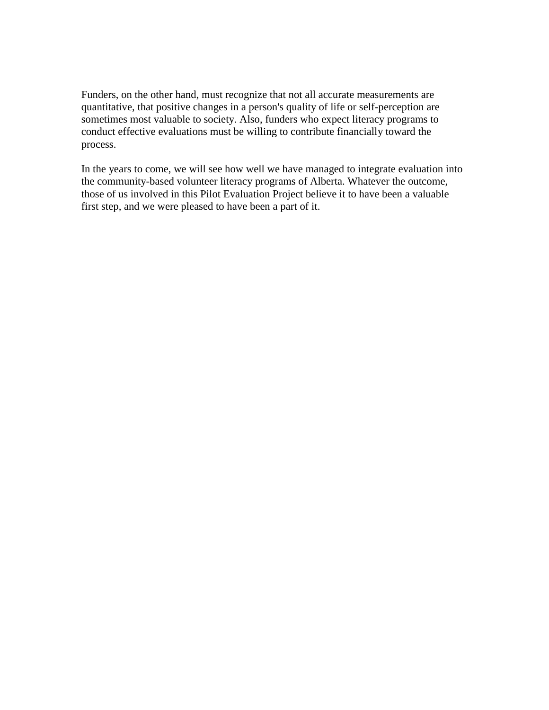Funders, on the other hand, must recognize that not all accurate measurements are quantitative, that positive changes in a person's quality of life or self-perception are sometimes most valuable to society. Also, funders who expect literacy programs to conduct effective evaluations must be willing to contribute financially toward the process.

In the years to come, we will see how well we have managed to integrate evaluation into the community-based volunteer literacy programs of Alberta. Whatever the outcome, those of us involved in this Pilot Evaluation Project believe it to have been a valuable first step, and we were pleased to have been a part of it.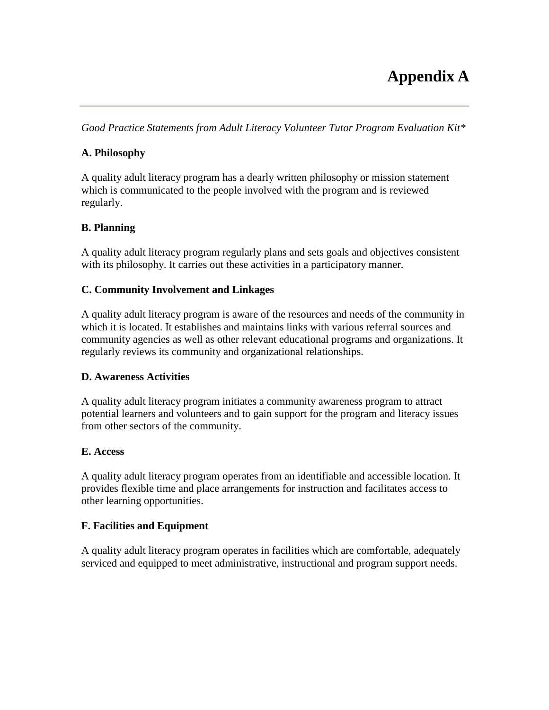# **Appendix A**

<span id="page-29-0"></span>*Good Practice Statements from Adult Literacy Volunteer Tutor Program Evaluation Kit\**

#### **A. Philosophy**

A quality adult literacy program has a dearly written philosophy or mission statement which is communicated to the people involved with the program and is reviewed regularly.

#### **B. Planning**

A quality adult literacy program regularly plans and sets goals and objectives consistent with its philosophy. It carries out these activities in a participatory manner.

#### **C. Community Involvement and Linkages**

A quality adult literacy program is aware of the resources and needs of the community in which it is located. It establishes and maintains links with various referral sources and community agencies as well as other relevant educational programs and organizations. It regularly reviews its community and organizational relationships.

#### **D. Awareness Activities**

A quality adult literacy program initiates a community awareness program to attract potential learners and volunteers and to gain support for the program and literacy issues from other sectors of the community.

#### **E. Access**

A quality adult literacy program operates from an identifiable and accessible location. It provides flexible time and place arrangements for instruction and facilitates access to other learning opportunities.

#### **F. Facilities and Equipment**

A quality adult literacy program operates in facilities which are comfortable, adequately serviced and equipped to meet administrative, instructional and program support needs.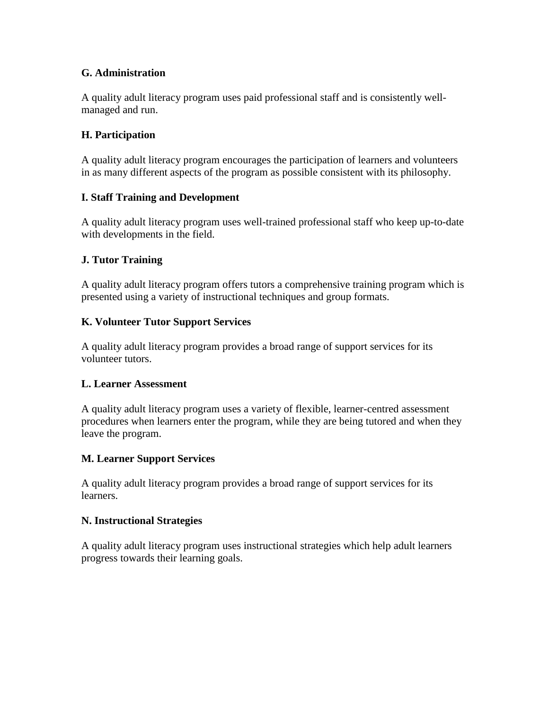#### **G. Administration**

A quality adult literacy program uses paid professional staff and is consistently wellmanaged and run.

#### **H. Participation**

A quality adult literacy program encourages the participation of learners and volunteers in as many different aspects of the program as possible consistent with its philosophy.

#### **I. Staff Training and Development**

A quality adult literacy program uses well-trained professional staff who keep up-to-date with developments in the field.

#### **J. Tutor Training**

A quality adult literacy program offers tutors a comprehensive training program which is presented using a variety of instructional techniques and group formats.

#### **K. Volunteer Tutor Support Services**

A quality adult literacy program provides a broad range of support services for its volunteer tutors.

#### **L. Learner Assessment**

A quality adult literacy program uses a variety of flexible, learner-centred assessment procedures when learners enter the program, while they are being tutored and when they leave the program.

#### **M. Learner Support Services**

A quality adult literacy program provides a broad range of support services for its learners.

#### **N. Instructional Strategies**

A quality adult literacy program uses instructional strategies which help adult learners progress towards their learning goals.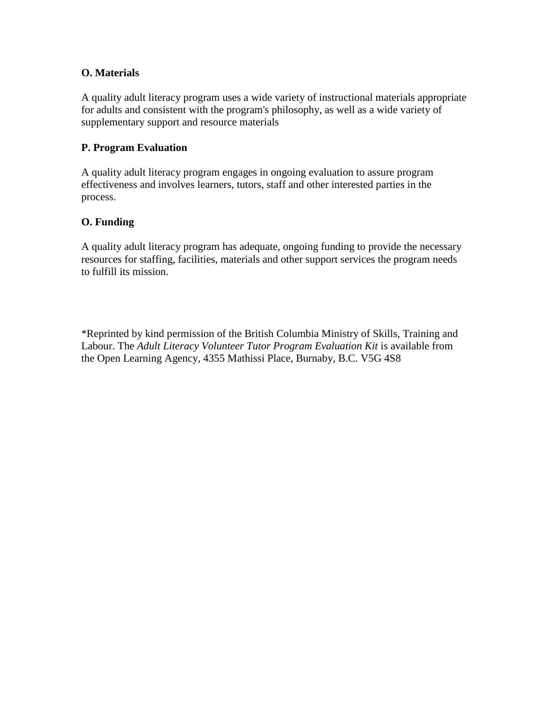#### **O. Materials**

A quality adult literacy program uses a wide variety of instructional materials appropriate for adults and consistent with the program's philosophy, as well as a wide variety of supplementary support and resource materials

#### **P. Program Evaluation**

A quality adult literacy program engages in ongoing evaluation to assure program effectiveness and involves learners, tutors, staff and other interested parties in the process.

#### **O. Funding**

A quality adult literacy program has adequate, ongoing funding to provide the necessary resources for staffing, facilities, materials and other support services the program needs to fulfill its mission.

\*Reprinted by kind permission of the British Columbia Ministry of Skills, Training and Labour. The *Adult Literacy Volunteer Tutor Program Evaluation Kit* is available from the Open Learning Agency, 4355 Mathissi Place, Burnaby, B.C. V5G 4S8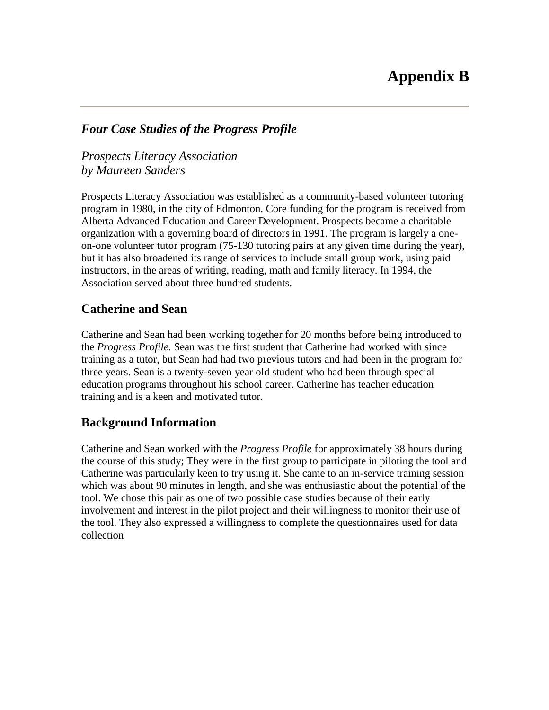#### <span id="page-32-0"></span>*Four Case Studies of the Progress Profile*

*Prospects Literacy Association by Maureen Sanders*

Prospects Literacy Association was established as a community-based volunteer tutoring program in 1980, in the city of Edmonton. Core funding for the program is received from Alberta Advanced Education and Career Development. Prospects became a charitable organization with a governing board of directors in 1991. The program is largely a oneon-one volunteer tutor program (75-130 tutoring pairs at any given time during the year), but it has also broadened its range of services to include small group work, using paid instructors, in the areas of writing, reading, math and family literacy. In 1994, the Association served about three hundred students.

# **Catherine and Sean**

Catherine and Sean had been working together for 20 months before being introduced to the *Progress Profile.* Sean was the first student that Catherine had worked with since training as a tutor, but Sean had had two previous tutors and had been in the program for three years. Sean is a twenty-seven year old student who had been through special education programs throughout his school career. Catherine has teacher education training and is a keen and motivated tutor.

# **Background Information**

Catherine and Sean worked with the *Progress Profile* for approximately 38 hours during the course of this study; They were in the first group to participate in piloting the tool and Catherine was particularly keen to try using it. She came to an in-service training session which was about 90 minutes in length, and she was enthusiastic about the potential of the tool. We chose this pair as one of two possible case studies because of their early involvement and interest in the pilot project and their willingness to monitor their use of the tool. They also expressed a willingness to complete the questionnaires used for data collection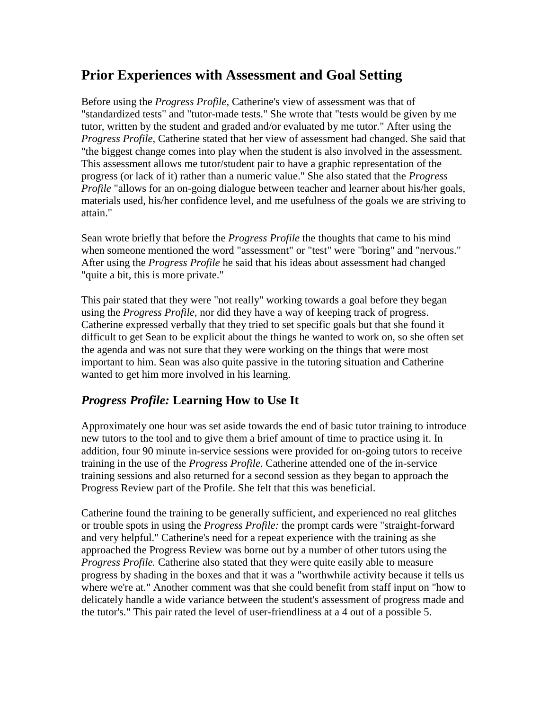# **Prior Experiences with Assessment and Goal Setting**

Before using the *Progress Profile,* Catherine's view of assessment was that of "standardized tests" and "tutor-made tests." She wrote that "tests would be given by me tutor, written by the student and graded and/or evaluated by me tutor." After using the *Progress Profile,* Catherine stated that her view of assessment had changed. She said that "the biggest change comes into play when the student is also involved in the assessment. This assessment allows me tutor/student pair to have a graphic representation of the progress (or lack of it) rather than a numeric value." She also stated that the *Progress Profile* "allows for an on-going dialogue between teacher and learner about his/her goals, materials used, his/her confidence level, and me usefulness of the goals we are striving to attain."

Sean wrote briefly that before the *Progress Profile* the thoughts that came to his mind when someone mentioned the word "assessment" or "test" were "boring" and "nervous." After using the *Progress Profile* he said that his ideas about assessment had changed "quite a bit, this is more private."

This pair stated that they were "not really" working towards a goal before they began using the *Progress Profile,* nor did they have a way of keeping track of progress. Catherine expressed verbally that they tried to set specific goals but that she found it difficult to get Sean to be explicit about the things he wanted to work on, so she often set the agenda and was not sure that they were working on the things that were most important to him. Sean was also quite passive in the tutoring situation and Catherine wanted to get him more involved in his learning.

# *Progress Profile:* **Learning How to Use It**

Approximately one hour was set aside towards the end of basic tutor training to introduce new tutors to the tool and to give them a brief amount of time to practice using it. In addition, four 90 minute in-service sessions were provided for on-going tutors to receive training in the use of the *Progress Profile.* Catherine attended one of the in-service training sessions and also returned for a second session as they began to approach the Progress Review part of the Profile. She felt that this was beneficial.

Catherine found the training to be generally sufficient, and experienced no real glitches or trouble spots in using the *Progress Profile:* the prompt cards were "straight-forward and very helpful." Catherine's need for a repeat experience with the training as she approached the Progress Review was borne out by a number of other tutors using the *Progress Profile.* Catherine also stated that they were quite easily able to measure progress by shading in the boxes and that it was a "worthwhile activity because it tells us where we're at." Another comment was that she could benefit from staff input on "how to delicately handle a wide variance between the student's assessment of progress made and the tutor's." This pair rated the level of user-friendliness at a 4 out of a possible 5.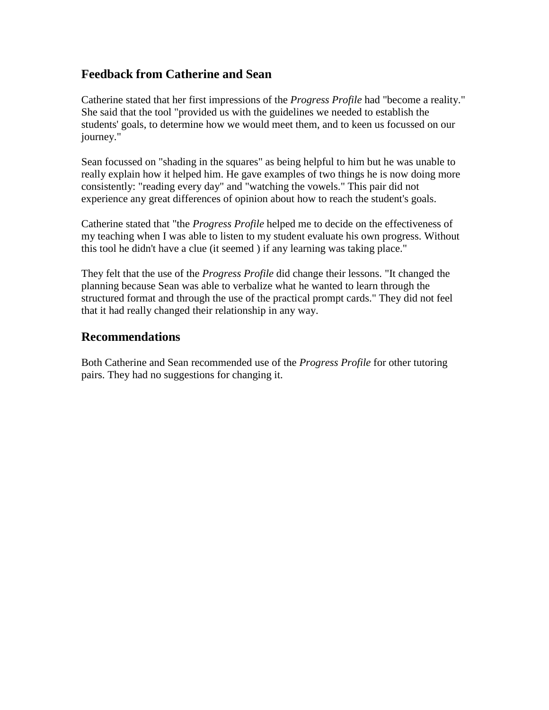# **Feedback from Catherine and Sean**

Catherine stated that her first impressions of the *Progress Profile* had "become a reality." She said that the tool "provided us with the guidelines we needed to establish the students' goals, to determine how we would meet them, and to keen us focussed on our journey."

Sean focussed on "shading in the squares" as being helpful to him but he was unable to really explain how it helped him. He gave examples of two things he is now doing more consistently: "reading every day" and "watching the vowels." This pair did not experience any great differences of opinion about how to reach the student's goals.

Catherine stated that "the *Progress Profile* helped me to decide on the effectiveness of my teaching when I was able to listen to my student evaluate his own progress. Without this tool he didn't have a clue (it seemed ) if any learning was taking place."

They felt that the use of the *Progress Profile* did change their lessons. "It changed the planning because Sean was able to verbalize what he wanted to learn through the structured format and through the use of the practical prompt cards." They did not feel that it had really changed their relationship in any way.

# **Recommendations**

Both Catherine and Sean recommended use of the *Progress Profile* for other tutoring pairs. They had no suggestions for changing it.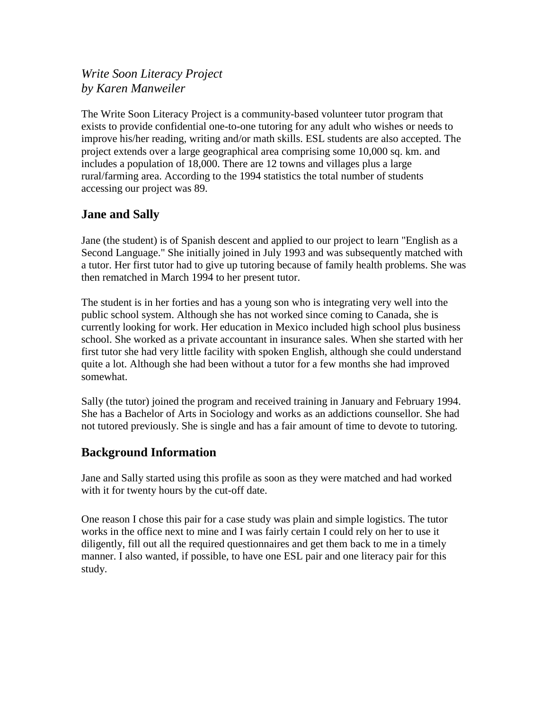# *Write Soon Literacy Project by Karen Manweiler*

The Write Soon Literacy Project is a community-based volunteer tutor program that exists to provide confidential one-to-one tutoring for any adult who wishes or needs to improve his/her reading, writing and/or math skills. ESL students are also accepted. The project extends over a large geographical area comprising some 10,000 sq. km. and includes a population of 18,000. There are 12 towns and villages plus a large rural/farming area. According to the 1994 statistics the total number of students accessing our project was 89.

# **Jane and Sally**

Jane (the student) is of Spanish descent and applied to our project to learn "English as a Second Language." She initially joined in July 1993 and was subsequently matched with a tutor. Her first tutor had to give up tutoring because of family health problems. She was then rematched in March 1994 to her present tutor.

The student is in her forties and has a young son who is integrating very well into the public school system. Although she has not worked since coming to Canada, she is currently looking for work. Her education in Mexico included high school plus business school. She worked as a private accountant in insurance sales. When she started with her first tutor she had very little facility with spoken English, although she could understand quite a lot. Although she had been without a tutor for a few months she had improved somewhat.

Sally (the tutor) joined the program and received training in January and February 1994. She has a Bachelor of Arts in Sociology and works as an addictions counsellor. She had not tutored previously. She is single and has a fair amount of time to devote to tutoring.

# **Background Information**

Jane and Sally started using this profile as soon as they were matched and had worked with it for twenty hours by the cut-off date.

One reason I chose this pair for a case study was plain and simple logistics. The tutor works in the office next to mine and I was fairly certain I could rely on her to use it diligently, fill out all the required questionnaires and get them back to me in a timely manner. I also wanted, if possible, to have one ESL pair and one literacy pair for this study.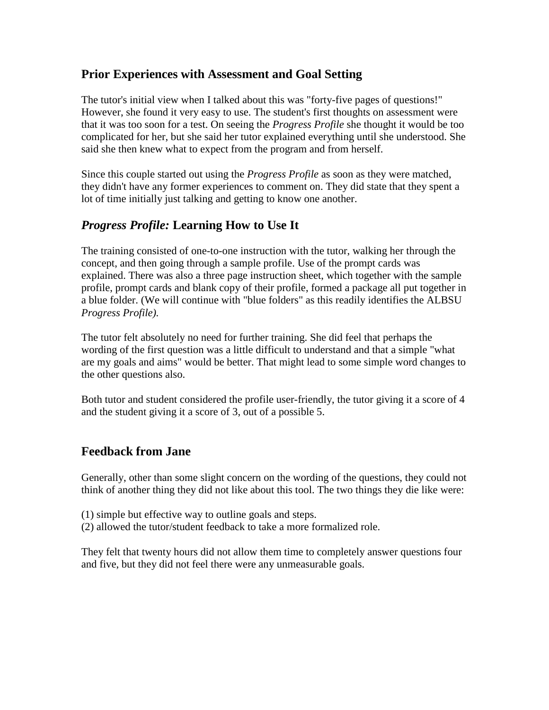# **Prior Experiences with Assessment and Goal Setting**

The tutor's initial view when I talked about this was "forty-five pages of questions!" However, she found it very easy to use. The student's first thoughts on assessment were that it was too soon for a test. On seeing the *Progress Profile* she thought it would be too complicated for her, but she said her tutor explained everything until she understood. She said she then knew what to expect from the program and from herself.

Since this couple started out using the *Progress Profile* as soon as they were matched, they didn't have any former experiences to comment on. They did state that they spent a lot of time initially just talking and getting to know one another.

# *Progress Profile:* **Learning How to Use It**

The training consisted of one-to-one instruction with the tutor, walking her through the concept, and then going through a sample profile. Use of the prompt cards was explained. There was also a three page instruction sheet, which together with the sample profile, prompt cards and blank copy of their profile, formed a package all put together in a blue folder. (We will continue with "blue folders" as this readily identifies the ALBSU *Progress Profile).*

The tutor felt absolutely no need for further training. She did feel that perhaps the wording of the first question was a little difficult to understand and that a simple "what are my goals and aims" would be better. That might lead to some simple word changes to the other questions also.

Both tutor and student considered the profile user-friendly, the tutor giving it a score of 4 and the student giving it a score of 3, out of a possible 5.

# **Feedback from Jane**

Generally, other than some slight concern on the wording of the questions, they could not think of another thing they did not like about this tool. The two things they die like were:

- (1) simple but effective way to outline goals and steps.
- (2) allowed the tutor/student feedback to take a more formalized role.

They felt that twenty hours did not allow them time to completely answer questions four and five, but they did not feel there were any unmeasurable goals.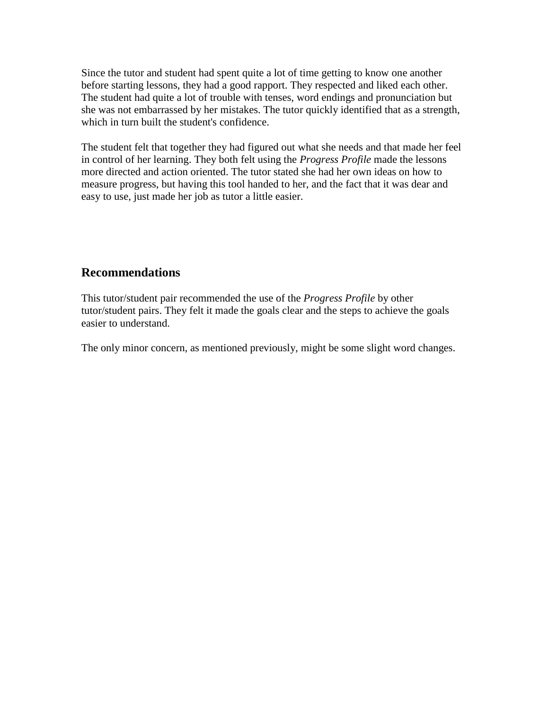Since the tutor and student had spent quite a lot of time getting to know one another before starting lessons, they had a good rapport. They respected and liked each other. The student had quite a lot of trouble with tenses, word endings and pronunciation but she was not embarrassed by her mistakes. The tutor quickly identified that as a strength, which in turn built the student's confidence.

The student felt that together they had figured out what she needs and that made her feel in control of her learning. They both felt using the *Progress Profile* made the lessons more directed and action oriented. The tutor stated she had her own ideas on how to measure progress, but having this tool handed to her, and the fact that it was dear and easy to use, just made her job as tutor a little easier.

# **Recommendations**

This tutor/student pair recommended the use of the *Progress Profile* by other tutor/student pairs. They felt it made the goals clear and the steps to achieve the goals easier to understand.

The only minor concern, as mentioned previously, might be some slight word changes.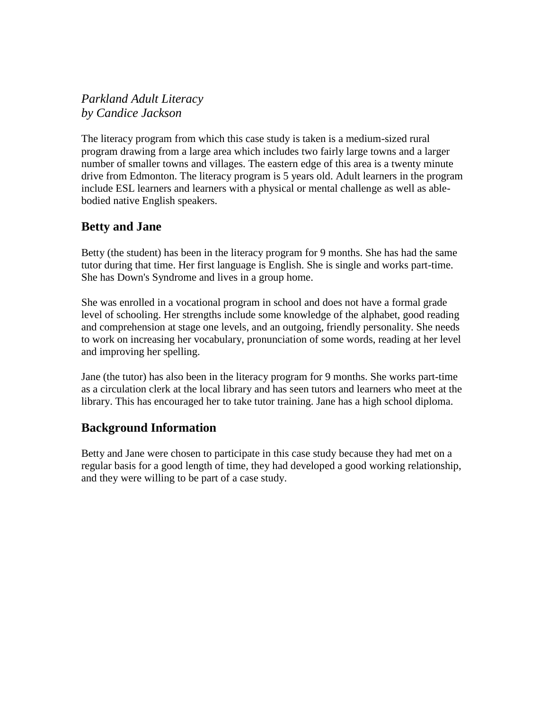*Parkland Adult Literacy by Candice Jackson*

The literacy program from which this case study is taken is a medium-sized rural program drawing from a large area which includes two fairly large towns and a larger number of smaller towns and villages. The eastern edge of this area is a twenty minute drive from Edmonton. The literacy program is 5 years old. Adult learners in the program include ESL learners and learners with a physical or mental challenge as well as ablebodied native English speakers.

# **Betty and Jane**

Betty (the student) has been in the literacy program for 9 months. She has had the same tutor during that time. Her first language is English. She is single and works part-time. She has Down's Syndrome and lives in a group home.

She was enrolled in a vocational program in school and does not have a formal grade level of schooling. Her strengths include some knowledge of the alphabet, good reading and comprehension at stage one levels, and an outgoing, friendly personality. She needs to work on increasing her vocabulary, pronunciation of some words, reading at her level and improving her spelling.

Jane (the tutor) has also been in the literacy program for 9 months. She works part-time as a circulation clerk at the local library and has seen tutors and learners who meet at the library. This has encouraged her to take tutor training. Jane has a high school diploma.

# **Background Information**

Betty and Jane were chosen to participate in this case study because they had met on a regular basis for a good length of time, they had developed a good working relationship, and they were willing to be part of a case study.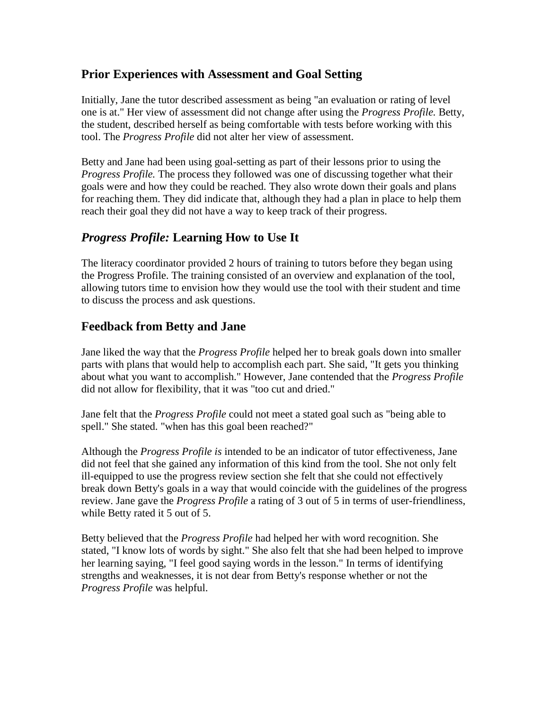# **Prior Experiences with Assessment and Goal Setting**

Initially, Jane the tutor described assessment as being "an evaluation or rating of level one is at." Her view of assessment did not change after using the *Progress Profile.* Betty, the student, described herself as being comfortable with tests before working with this tool. The *Progress Profile* did not alter her view of assessment.

Betty and Jane had been using goal-setting as part of their lessons prior to using the *Progress Profile.* The process they followed was one of discussing together what their goals were and how they could be reached. They also wrote down their goals and plans for reaching them. They did indicate that, although they had a plan in place to help them reach their goal they did not have a way to keep track of their progress.

# *Progress Profile:* **Learning How to Use It**

The literacy coordinator provided 2 hours of training to tutors before they began using the Progress Profile. The training consisted of an overview and explanation of the tool, allowing tutors time to envision how they would use the tool with their student and time to discuss the process and ask questions.

# **Feedback from Betty and Jane**

Jane liked the way that the *Progress Profile* helped her to break goals down into smaller parts with plans that would help to accomplish each part. She said, "It gets you thinking about what you want to accomplish." However, Jane contended that the *Progress Profile* did not allow for flexibility, that it was "too cut and dried."

Jane felt that the *Progress Profile* could not meet a stated goal such as "being able to spell." She stated. "when has this goal been reached?"

Although the *Progress Profile is* intended to be an indicator of tutor effectiveness, Jane did not feel that she gained any information of this kind from the tool. She not only felt ill-equipped to use the progress review section she felt that she could not effectively break down Betty's goals in a way that would coincide with the guidelines of the progress review. Jane gave the *Progress Profile* a rating of 3 out of 5 in terms of user-friendliness, while Betty rated it 5 out of 5.

Betty believed that the *Progress Profile* had helped her with word recognition. She stated, "I know lots of words by sight." She also felt that she had been helped to improve her learning saying, "I feel good saying words in the lesson." In terms of identifying strengths and weaknesses, it is not dear from Betty's response whether or not the *Progress Profile* was helpful.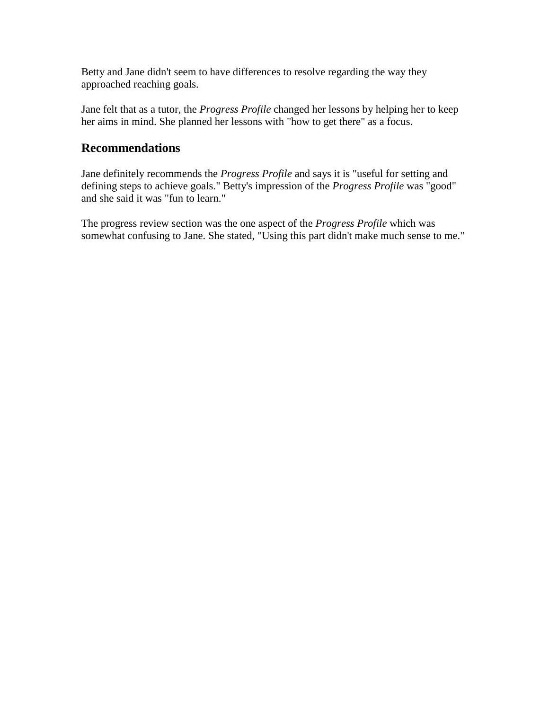Betty and Jane didn't seem to have differences to resolve regarding the way they approached reaching goals.

Jane felt that as a tutor, the *Progress Profile* changed her lessons by helping her to keep her aims in mind. She planned her lessons with "how to get there" as a focus.

# **Recommendations**

Jane definitely recommends the *Progress Profile* and says it is "useful for setting and defining steps to achieve goals." Betty's impression of the *Progress Profile* was "good" and she said it was "fun to learn."

The progress review section was the one aspect of the *Progress Profile* which was somewhat confusing to Jane. She stated, "Using this part didn't make much sense to me."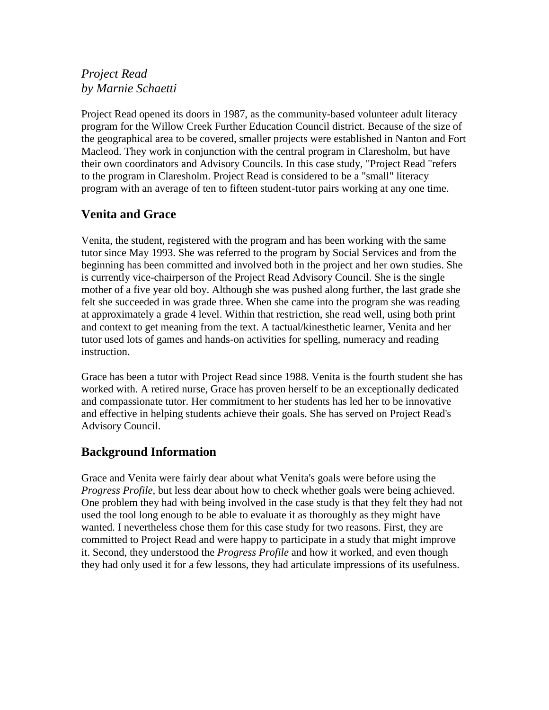# *Project Read by Marnie Schaetti*

Project Read opened its doors in 1987, as the community-based volunteer adult literacy program for the Willow Creek Further Education Council district. Because of the size of the geographical area to be covered, smaller projects were established in Nanton and Fort Macleod. They work in conjunction with the central program in Claresholm, but have their own coordinators and Advisory Councils. In this case study, "Project Read "refers to the program in Claresholm. Project Read is considered to be a "small" literacy program with an average of ten to fifteen student-tutor pairs working at any one time.

# **Venita and Grace**

Venita, the student, registered with the program and has been working with the same tutor since May 1993. She was referred to the program by Social Services and from the beginning has been committed and involved both in the project and her own studies. She is currently vice-chairperson of the Project Read Advisory Council. She is the single mother of a five year old boy. Although she was pushed along further, the last grade she felt she succeeded in was grade three. When she came into the program she was reading at approximately a grade 4 level. Within that restriction, she read well, using both print and context to get meaning from the text. A tactual/kinesthetic learner, Venita and her tutor used lots of games and hands-on activities for spelling, numeracy and reading instruction.

Grace has been a tutor with Project Read since 1988. Venita is the fourth student she has worked with. A retired nurse, Grace has proven herself to be an exceptionally dedicated and compassionate tutor. Her commitment to her students has led her to be innovative and effective in helping students achieve their goals. She has served on Project Read's Advisory Council.

# **Background Information**

Grace and Venita were fairly dear about what Venita's goals were before using the *Progress Profile, but less dear about how to check whether goals were being achieved.* One problem they had with being involved in the case study is that they felt they had not used the tool long enough to be able to evaluate it as thoroughly as they might have wanted. I nevertheless chose them for this case study for two reasons. First, they are committed to Project Read and were happy to participate in a study that might improve it. Second, they understood the *Progress Profile* and how it worked, and even though they had only used it for a few lessons, they had articulate impressions of its usefulness.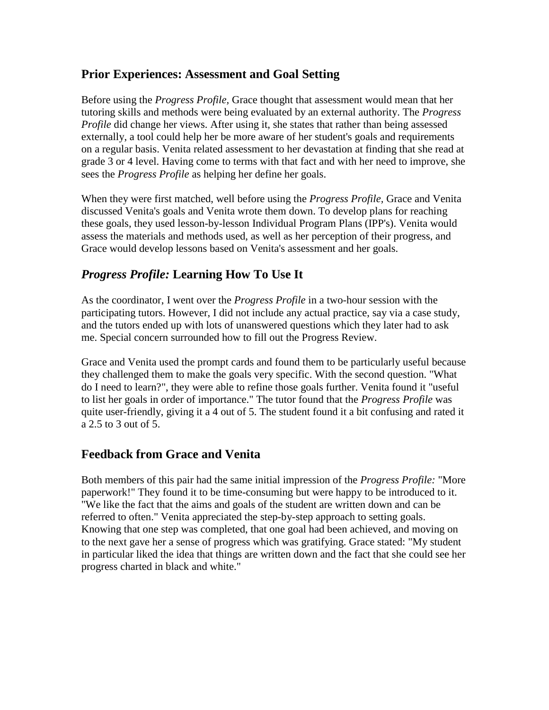# **Prior Experiences: Assessment and Goal Setting**

Before using the *Progress Profile,* Grace thought that assessment would mean that her tutoring skills and methods were being evaluated by an external authority. The *Progress Profile* did change her views. After using it, she states that rather than being assessed externally, a tool could help her be more aware of her student's goals and requirements on a regular basis. Venita related assessment to her devastation at finding that she read at grade 3 or 4 level. Having come to terms with that fact and with her need to improve, she sees the *Progress Profile* as helping her define her goals.

When they were first matched, well before using the *Progress Profile,* Grace and Venita discussed Venita's goals and Venita wrote them down. To develop plans for reaching these goals, they used lesson-by-lesson Individual Program Plans (IPP's). Venita would assess the materials and methods used, as well as her perception of their progress, and Grace would develop lessons based on Venita's assessment and her goals.

# *Progress Profile:* **Learning How To Use It**

As the coordinator, I went over the *Progress Profile* in a two-hour session with the participating tutors. However, I did not include any actual practice, say via a case study, and the tutors ended up with lots of unanswered questions which they later had to ask me. Special concern surrounded how to fill out the Progress Review.

Grace and Venita used the prompt cards and found them to be particularly useful because they challenged them to make the goals very specific. With the second question. "What do I need to learn?", they were able to refine those goals further. Venita found it "useful to list her goals in order of importance." The tutor found that the *Progress Profile* was quite user-friendly, giving it a 4 out of 5. The student found it a bit confusing and rated it a 2.5 to 3 out of 5.

# **Feedback from Grace and Venita**

Both members of this pair had the same initial impression of the *Progress Profile:* "More paperwork!" They found it to be time-consuming but were happy to be introduced to it. "We like the fact that the aims and goals of the student are written down and can be referred to often." Venita appreciated the step-by-step approach to setting goals. Knowing that one step was completed, that one goal had been achieved, and moving on to the next gave her a sense of progress which was gratifying. Grace stated: "My student in particular liked the idea that things are written down and the fact that she could see her progress charted in black and white."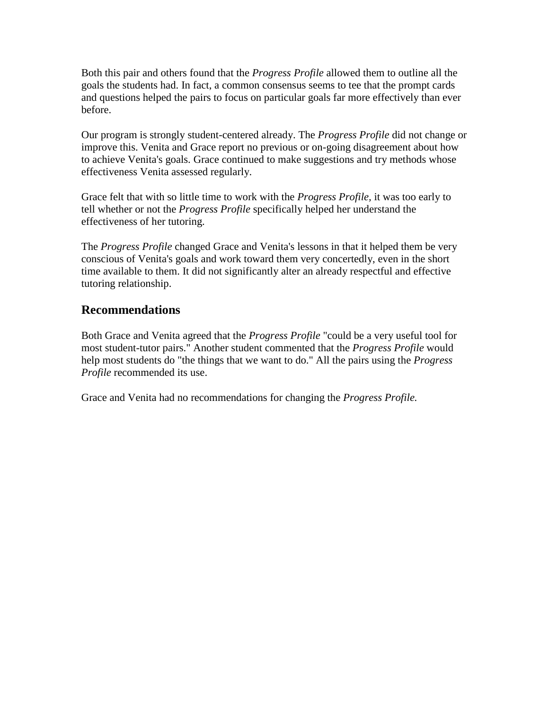Both this pair and others found that the *Progress Profile* allowed them to outline all the goals the students had. In fact, a common consensus seems to tee that the prompt cards and questions helped the pairs to focus on particular goals far more effectively than ever before.

Our program is strongly student-centered already. The *Progress Profile* did not change or improve this. Venita and Grace report no previous or on-going disagreement about how to achieve Venita's goals. Grace continued to make suggestions and try methods whose effectiveness Venita assessed regularly.

Grace felt that with so little time to work with the *Progress Profile,* it was too early to tell whether or not the *Progress Profile* specifically helped her understand the effectiveness of her tutoring.

The *Progress Profile* changed Grace and Venita's lessons in that it helped them be very conscious of Venita's goals and work toward them very concertedly, even in the short time available to them. It did not significantly alter an already respectful and effective tutoring relationship.

# **Recommendations**

Both Grace and Venita agreed that the *Progress Profile* "could be a very useful tool for most student-tutor pairs." Another student commented that the *Progress Profile* would help most students do "the things that we want to do." All the pairs using the *Progress Profile* recommended its use.

Grace and Venita had no recommendations for changing the *Progress Profile.*